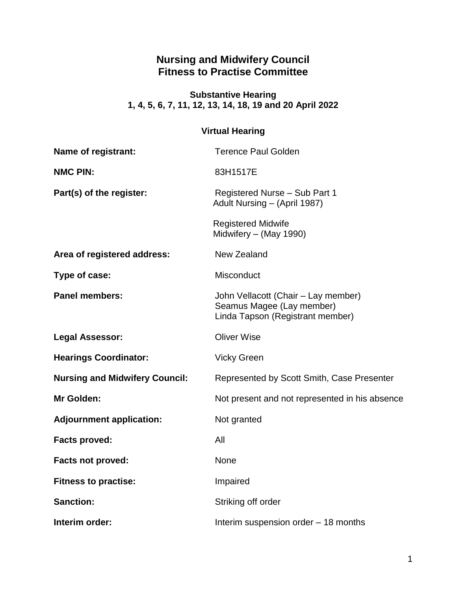# **Nursing and Midwifery Council Fitness to Practise Committee**

#### **Substantive Hearing 1, 4, 5, 6, 7, 11, 12, 13, 14, 18, 19 and 20 April 2022**

## **Virtual Hearing**

| Name of registrant:                   | <b>Terence Paul Golden</b>                                                                           |
|---------------------------------------|------------------------------------------------------------------------------------------------------|
| <b>NMC PIN:</b>                       | 83H1517E                                                                                             |
| Part(s) of the register:              | Registered Nurse - Sub Part 1<br>Adult Nursing - (April 1987)                                        |
|                                       | <b>Registered Midwife</b><br>Midwifery - (May 1990)                                                  |
| Area of registered address:           | New Zealand                                                                                          |
| Type of case:                         | Misconduct                                                                                           |
| <b>Panel members:</b>                 | John Vellacott (Chair – Lay member)<br>Seamus Magee (Lay member)<br>Linda Tapson (Registrant member) |
| <b>Legal Assessor:</b>                | <b>Oliver Wise</b>                                                                                   |
| <b>Hearings Coordinator:</b>          | <b>Vicky Green</b>                                                                                   |
| <b>Nursing and Midwifery Council:</b> | Represented by Scott Smith, Case Presenter                                                           |
| Mr Golden:                            | Not present and not represented in his absence                                                       |
| <b>Adjournment application:</b>       | Not granted                                                                                          |
| <b>Facts proved:</b>                  | All                                                                                                  |
| <b>Facts not proved:</b>              | <b>None</b>                                                                                          |
| <b>Fitness to practise:</b>           | Impaired                                                                                             |
| <b>Sanction:</b>                      | Striking off order                                                                                   |
| Interim order:                        | Interim suspension order - 18 months                                                                 |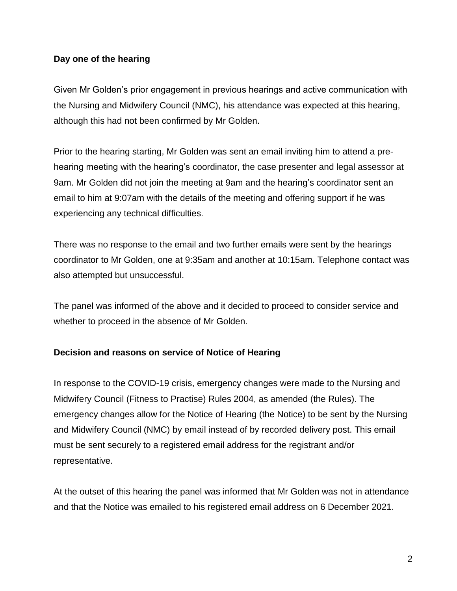### **Day one of the hearing**

Given Mr Golden's prior engagement in previous hearings and active communication with the Nursing and Midwifery Council (NMC), his attendance was expected at this hearing, although this had not been confirmed by Mr Golden.

Prior to the hearing starting, Mr Golden was sent an email inviting him to attend a prehearing meeting with the hearing's coordinator, the case presenter and legal assessor at 9am. Mr Golden did not join the meeting at 9am and the hearing's coordinator sent an email to him at 9:07am with the details of the meeting and offering support if he was experiencing any technical difficulties.

There was no response to the email and two further emails were sent by the hearings coordinator to Mr Golden, one at 9:35am and another at 10:15am. Telephone contact was also attempted but unsuccessful.

The panel was informed of the above and it decided to proceed to consider service and whether to proceed in the absence of Mr Golden.

### **Decision and reasons on service of Notice of Hearing**

In response to the COVID-19 crisis, emergency changes were made to the Nursing and Midwifery Council (Fitness to Practise) Rules 2004, as amended (the Rules). The emergency changes allow for the Notice of Hearing (the Notice) to be sent by the Nursing and Midwifery Council (NMC) by email instead of by recorded delivery post. This email must be sent securely to a registered email address for the registrant and/or representative.

At the outset of this hearing the panel was informed that Mr Golden was not in attendance and that the Notice was emailed to his registered email address on 6 December 2021.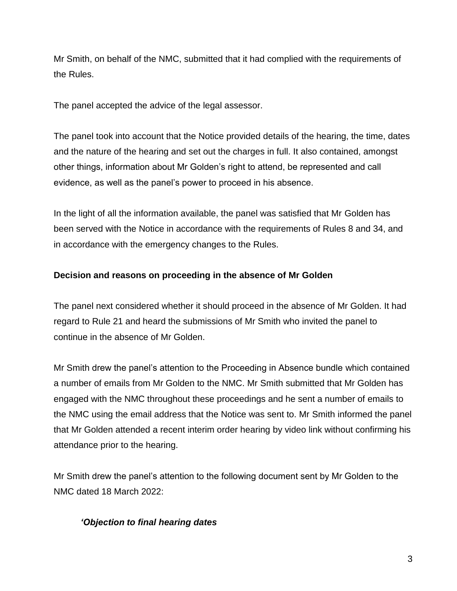Mr Smith, on behalf of the NMC, submitted that it had complied with the requirements of the Rules.

The panel accepted the advice of the legal assessor.

The panel took into account that the Notice provided details of the hearing, the time, dates and the nature of the hearing and set out the charges in full. It also contained, amongst other things, information about Mr Golden's right to attend, be represented and call evidence, as well as the panel's power to proceed in his absence.

In the light of all the information available, the panel was satisfied that Mr Golden has been served with the Notice in accordance with the requirements of Rules 8 and 34, and in accordance with the emergency changes to the Rules.

### **Decision and reasons on proceeding in the absence of Mr Golden**

The panel next considered whether it should proceed in the absence of Mr Golden. It had regard to Rule 21 and heard the submissions of Mr Smith who invited the panel to continue in the absence of Mr Golden.

Mr Smith drew the panel's attention to the Proceeding in Absence bundle which contained a number of emails from Mr Golden to the NMC. Mr Smith submitted that Mr Golden has engaged with the NMC throughout these proceedings and he sent a number of emails to the NMC using the email address that the Notice was sent to. Mr Smith informed the panel that Mr Golden attended a recent interim order hearing by video link without confirming his attendance prior to the hearing.

Mr Smith drew the panel's attention to the following document sent by Mr Golden to the NMC dated 18 March 2022:

## *'Objection to final hearing dates*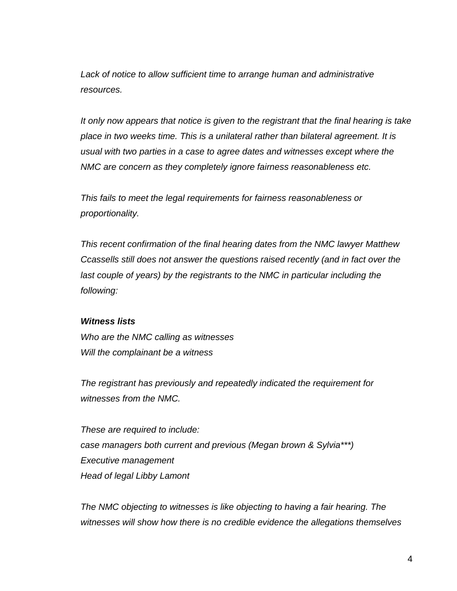*Lack of notice to allow sufficient time to arrange human and administrative resources.*

*It only now appears that notice is given to the registrant that the final hearing is take place in two weeks time. This is a unilateral rather than bilateral agreement. It is usual with two parties in a case to agree dates and witnesses except where the NMC are concern as they completely ignore fairness reasonableness etc.*

*This fails to meet the legal requirements for fairness reasonableness or proportionality.*

*This recent confirmation of the final hearing dates from the NMC lawyer Matthew Ccassells still does not answer the questions raised recently (and in fact over the last couple of years) by the registrants to the NMC in particular including the following:*

#### *Witness lists*

*Who are the NMC calling as witnesses Will the complainant be a witness*

*The registrant has previously and repeatedly indicated the requirement for witnesses from the NMC.* 

*These are required to include: case managers both current and previous (Megan brown & Sylvia\*\*\*) Executive management Head of legal Libby Lamont*

*The NMC objecting to witnesses is like objecting to having a fair hearing. The witnesses will show how there is no credible evidence the allegations themselves*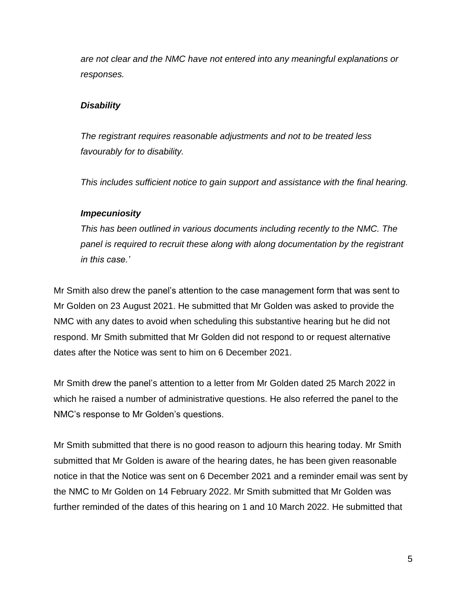*are not clear and the NMC have not entered into any meaningful explanations or responses.*

#### *Disability*

*The registrant requires reasonable adjustments and not to be treated less favourably for to disability.*

*This includes sufficient notice to gain support and assistance with the final hearing.*

#### *Impecuniosity*

*This has been outlined in various documents including recently to the NMC. The panel is required to recruit these along with along documentation by the registrant in this case.'*

Mr Smith also drew the panel's attention to the case management form that was sent to Mr Golden on 23 August 2021. He submitted that Mr Golden was asked to provide the NMC with any dates to avoid when scheduling this substantive hearing but he did not respond. Mr Smith submitted that Mr Golden did not respond to or request alternative dates after the Notice was sent to him on 6 December 2021.

Mr Smith drew the panel's attention to a letter from Mr Golden dated 25 March 2022 in which he raised a number of administrative questions. He also referred the panel to the NMC's response to Mr Golden's questions.

Mr Smith submitted that there is no good reason to adjourn this hearing today. Mr Smith submitted that Mr Golden is aware of the hearing dates, he has been given reasonable notice in that the Notice was sent on 6 December 2021 and a reminder email was sent by the NMC to Mr Golden on 14 February 2022. Mr Smith submitted that Mr Golden was further reminded of the dates of this hearing on 1 and 10 March 2022. He submitted that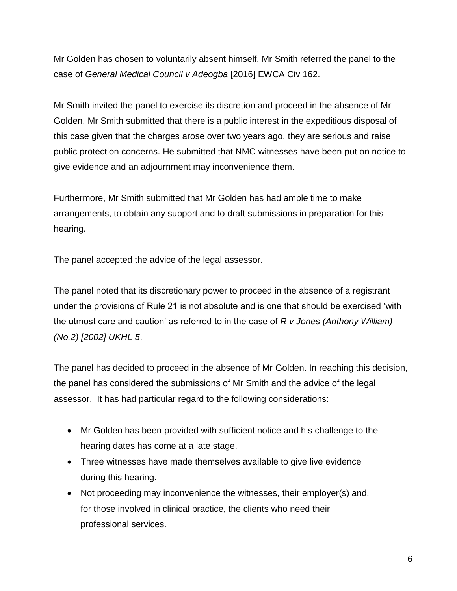Mr Golden has chosen to voluntarily absent himself. Mr Smith referred the panel to the case of *General Medical Council v Adeogba* [2016] EWCA Civ 162.

Mr Smith invited the panel to exercise its discretion and proceed in the absence of Mr Golden. Mr Smith submitted that there is a public interest in the expeditious disposal of this case given that the charges arose over two years ago, they are serious and raise public protection concerns. He submitted that NMC witnesses have been put on notice to give evidence and an adjournment may inconvenience them.

Furthermore, Mr Smith submitted that Mr Golden has had ample time to make arrangements, to obtain any support and to draft submissions in preparation for this hearing.

The panel accepted the advice of the legal assessor.

The panel noted that its discretionary power to proceed in the absence of a registrant under the provisions of Rule 21 is not absolute and is one that should be exercised 'with the utmost care and caution' as referred to in the case of *R v Jones (Anthony William) (No.2) [2002] UKHL 5*.

The panel has decided to proceed in the absence of Mr Golden. In reaching this decision, the panel has considered the submissions of Mr Smith and the advice of the legal assessor. It has had particular regard to the following considerations:

- Mr Golden has been provided with sufficient notice and his challenge to the hearing dates has come at a late stage.
- Three witnesses have made themselves available to give live evidence during this hearing.
- Not proceeding may inconvenience the witnesses, their employer(s) and, for those involved in clinical practice, the clients who need their professional services.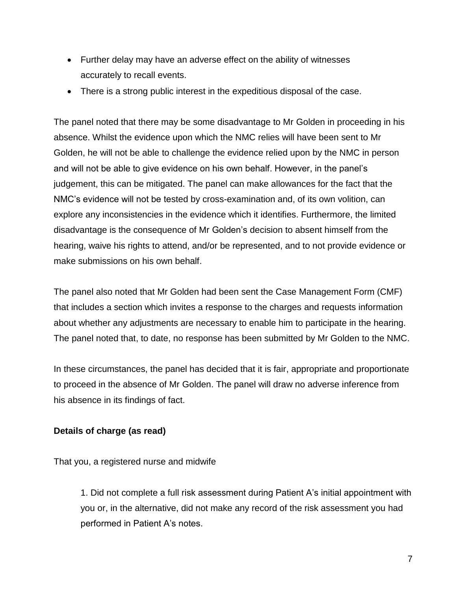- Further delay may have an adverse effect on the ability of witnesses accurately to recall events.
- There is a strong public interest in the expeditious disposal of the case.

The panel noted that there may be some disadvantage to Mr Golden in proceeding in his absence. Whilst the evidence upon which the NMC relies will have been sent to Mr Golden, he will not be able to challenge the evidence relied upon by the NMC in person and will not be able to give evidence on his own behalf. However, in the panel's judgement, this can be mitigated. The panel can make allowances for the fact that the NMC's evidence will not be tested by cross-examination and, of its own volition, can explore any inconsistencies in the evidence which it identifies. Furthermore, the limited disadvantage is the consequence of Mr Golden's decision to absent himself from the hearing, waive his rights to attend, and/or be represented, and to not provide evidence or make submissions on his own behalf.

The panel also noted that Mr Golden had been sent the Case Management Form (CMF) that includes a section which invites a response to the charges and requests information about whether any adjustments are necessary to enable him to participate in the hearing. The panel noted that, to date, no response has been submitted by Mr Golden to the NMC.

In these circumstances, the panel has decided that it is fair, appropriate and proportionate to proceed in the absence of Mr Golden. The panel will draw no adverse inference from his absence in its findings of fact.

## **Details of charge (as read)**

That you, a registered nurse and midwife

1. Did not complete a full risk assessment during Patient A's initial appointment with you or, in the alternative, did not make any record of the risk assessment you had performed in Patient A's notes.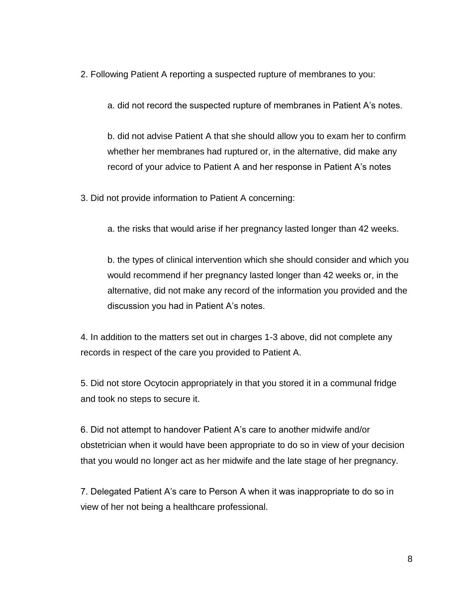2. Following Patient A reporting a suspected rupture of membranes to you:

a. did not record the suspected rupture of membranes in Patient A's notes.

b. did not advise Patient A that she should allow you to exam her to confirm whether her membranes had ruptured or, in the alternative, did make any record of your advice to Patient A and her response in Patient A's notes

- 3. Did not provide information to Patient A concerning:
	- a. the risks that would arise if her pregnancy lasted longer than 42 weeks.

b. the types of clinical intervention which she should consider and which you would recommend if her pregnancy lasted longer than 42 weeks or, in the alternative, did not make any record of the information you provided and the discussion you had in Patient A's notes.

4. In addition to the matters set out in charges 1-3 above, did not complete any records in respect of the care you provided to Patient A.

5. Did not store Ocytocin appropriately in that you stored it in a communal fridge and took no steps to secure it.

6. Did not attempt to handover Patient A's care to another midwife and/or obstetrician when it would have been appropriate to do so in view of your decision that you would no longer act as her midwife and the late stage of her pregnancy.

7. Delegated Patient A's care to Person A when it was inappropriate to do so in view of her not being a healthcare professional.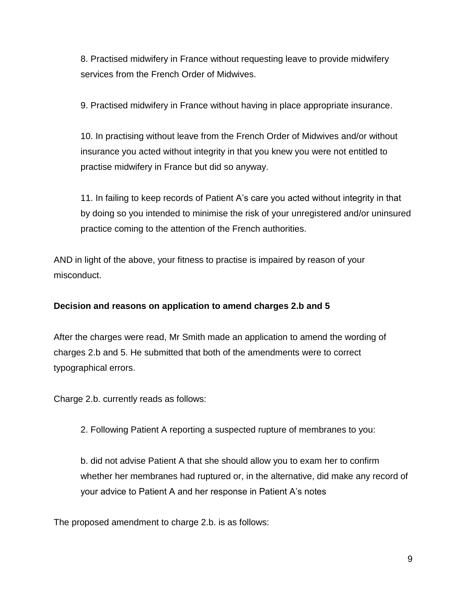8. Practised midwifery in France without requesting leave to provide midwifery services from the French Order of Midwives.

9. Practised midwifery in France without having in place appropriate insurance.

10. In practising without leave from the French Order of Midwives and/or without insurance you acted without integrity in that you knew you were not entitled to practise midwifery in France but did so anyway.

11. In failing to keep records of Patient A's care you acted without integrity in that by doing so you intended to minimise the risk of your unregistered and/or uninsured practice coming to the attention of the French authorities.

AND in light of the above, your fitness to practise is impaired by reason of your misconduct.

## **Decision and reasons on application to amend charges 2.b and 5**

After the charges were read, Mr Smith made an application to amend the wording of charges 2.b and 5. He submitted that both of the amendments were to correct typographical errors.

Charge 2.b. currently reads as follows:

2. Following Patient A reporting a suspected rupture of membranes to you:

b. did not advise Patient A that she should allow you to exam her to confirm whether her membranes had ruptured or, in the alternative, did make any record of your advice to Patient A and her response in Patient A's notes

The proposed amendment to charge 2.b. is as follows: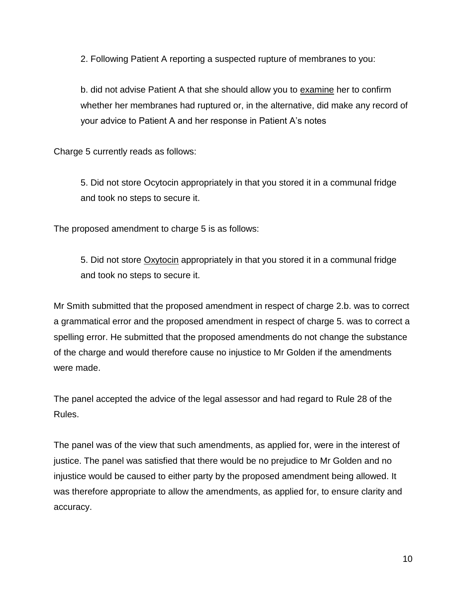2. Following Patient A reporting a suspected rupture of membranes to you:

b. did not advise Patient A that she should allow you to examine her to confirm whether her membranes had ruptured or, in the alternative, did make any record of your advice to Patient A and her response in Patient A's notes

Charge 5 currently reads as follows:

5. Did not store Ocytocin appropriately in that you stored it in a communal fridge and took no steps to secure it.

The proposed amendment to charge 5 is as follows:

5. Did not store Oxytocin appropriately in that you stored it in a communal fridge and took no steps to secure it.

Mr Smith submitted that the proposed amendment in respect of charge 2.b. was to correct a grammatical error and the proposed amendment in respect of charge 5. was to correct a spelling error. He submitted that the proposed amendments do not change the substance of the charge and would therefore cause no injustice to Mr Golden if the amendments were made.

The panel accepted the advice of the legal assessor and had regard to Rule 28 of the Rules.

The panel was of the view that such amendments, as applied for, were in the interest of justice. The panel was satisfied that there would be no prejudice to Mr Golden and no injustice would be caused to either party by the proposed amendment being allowed. It was therefore appropriate to allow the amendments, as applied for, to ensure clarity and accuracy.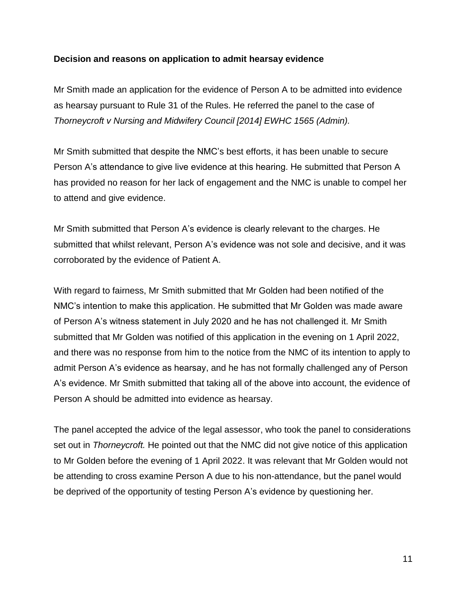#### **Decision and reasons on application to admit hearsay evidence**

Mr Smith made an application for the evidence of Person A to be admitted into evidence as hearsay pursuant to Rule 31 of the Rules. He referred the panel to the case of *Thorneycroft v Nursing and Midwifery Council [2014] EWHC 1565 (Admin).*

Mr Smith submitted that despite the NMC's best efforts, it has been unable to secure Person A's attendance to give live evidence at this hearing. He submitted that Person A has provided no reason for her lack of engagement and the NMC is unable to compel her to attend and give evidence.

Mr Smith submitted that Person A's evidence is clearly relevant to the charges. He submitted that whilst relevant, Person A's evidence was not sole and decisive, and it was corroborated by the evidence of Patient A.

With regard to fairness, Mr Smith submitted that Mr Golden had been notified of the NMC's intention to make this application. He submitted that Mr Golden was made aware of Person A's witness statement in July 2020 and he has not challenged it. Mr Smith submitted that Mr Golden was notified of this application in the evening on 1 April 2022, and there was no response from him to the notice from the NMC of its intention to apply to admit Person A's evidence as hearsay, and he has not formally challenged any of Person A's evidence. Mr Smith submitted that taking all of the above into account, the evidence of Person A should be admitted into evidence as hearsay.

The panel accepted the advice of the legal assessor, who took the panel to considerations set out in *Thorneycroft.* He pointed out that the NMC did not give notice of this application to Mr Golden before the evening of 1 April 2022. It was relevant that Mr Golden would not be attending to cross examine Person A due to his non-attendance, but the panel would be deprived of the opportunity of testing Person A's evidence by questioning her.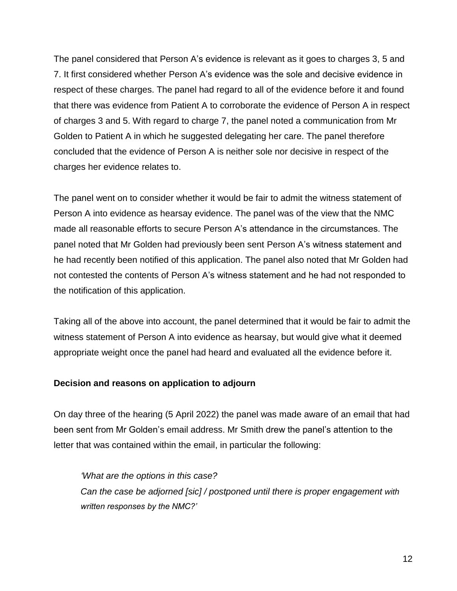The panel considered that Person A's evidence is relevant as it goes to charges 3, 5 and 7. It first considered whether Person A's evidence was the sole and decisive evidence in respect of these charges. The panel had regard to all of the evidence before it and found that there was evidence from Patient A to corroborate the evidence of Person A in respect of charges 3 and 5. With regard to charge 7, the panel noted a communication from Mr Golden to Patient A in which he suggested delegating her care. The panel therefore concluded that the evidence of Person A is neither sole nor decisive in respect of the charges her evidence relates to.

The panel went on to consider whether it would be fair to admit the witness statement of Person A into evidence as hearsay evidence. The panel was of the view that the NMC made all reasonable efforts to secure Person A's attendance in the circumstances. The panel noted that Mr Golden had previously been sent Person A's witness statement and he had recently been notified of this application. The panel also noted that Mr Golden had not contested the contents of Person A's witness statement and he had not responded to the notification of this application.

Taking all of the above into account, the panel determined that it would be fair to admit the witness statement of Person A into evidence as hearsay, but would give what it deemed appropriate weight once the panel had heard and evaluated all the evidence before it.

### **Decision and reasons on application to adjourn**

On day three of the hearing (5 April 2022) the panel was made aware of an email that had been sent from Mr Golden's email address. Mr Smith drew the panel's attention to the letter that was contained within the email, in particular the following:

### *'What are the options in this case?*

*Can the case be adjorned [sic] / postponed until there is proper engagement with written responses by the NMC?'*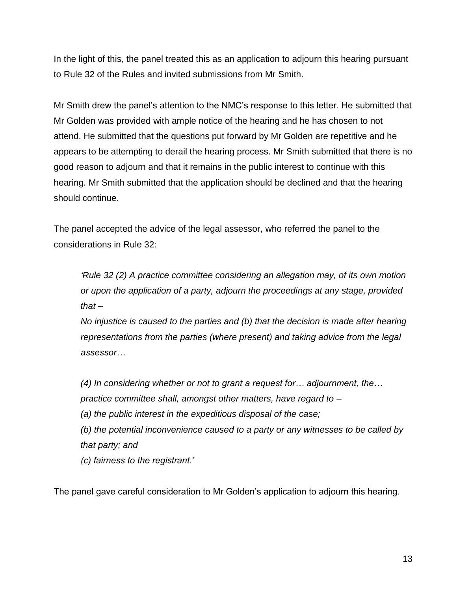In the light of this, the panel treated this as an application to adjourn this hearing pursuant to Rule 32 of the Rules and invited submissions from Mr Smith.

Mr Smith drew the panel's attention to the NMC's response to this letter. He submitted that Mr Golden was provided with ample notice of the hearing and he has chosen to not attend. He submitted that the questions put forward by Mr Golden are repetitive and he appears to be attempting to derail the hearing process. Mr Smith submitted that there is no good reason to adjourn and that it remains in the public interest to continue with this hearing. Mr Smith submitted that the application should be declined and that the hearing should continue.

The panel accepted the advice of the legal assessor, who referred the panel to the considerations in Rule 32:

*'Rule 32 (2) A practice committee considering an allegation may, of its own motion or upon the application of a party, adjourn the proceedings at any stage, provided that –*

*No injustice is caused to the parties and (b) that the decision is made after hearing representations from the parties (where present) and taking advice from the legal assessor…*

*(4) In considering whether or not to grant a request for… adjournment, the… practice committee shall, amongst other matters, have regard to –*

*(a) the public interest in the expeditious disposal of the case;*

*(b) the potential inconvenience caused to a party or any witnesses to be called by that party; and*

*(c) fairness to the registrant.'*

The panel gave careful consideration to Mr Golden's application to adjourn this hearing.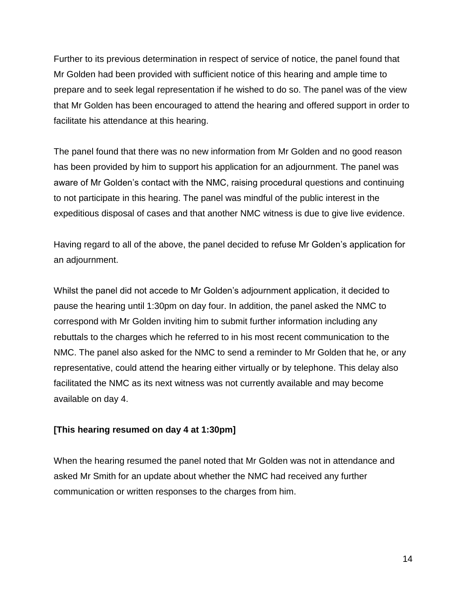Further to its previous determination in respect of service of notice, the panel found that Mr Golden had been provided with sufficient notice of this hearing and ample time to prepare and to seek legal representation if he wished to do so. The panel was of the view that Mr Golden has been encouraged to attend the hearing and offered support in order to facilitate his attendance at this hearing.

The panel found that there was no new information from Mr Golden and no good reason has been provided by him to support his application for an adjournment. The panel was aware of Mr Golden's contact with the NMC, raising procedural questions and continuing to not participate in this hearing. The panel was mindful of the public interest in the expeditious disposal of cases and that another NMC witness is due to give live evidence.

Having regard to all of the above, the panel decided to refuse Mr Golden's application for an adjournment.

Whilst the panel did not accede to Mr Golden's adjournment application, it decided to pause the hearing until 1:30pm on day four. In addition, the panel asked the NMC to correspond with Mr Golden inviting him to submit further information including any rebuttals to the charges which he referred to in his most recent communication to the NMC. The panel also asked for the NMC to send a reminder to Mr Golden that he, or any representative, could attend the hearing either virtually or by telephone. This delay also facilitated the NMC as its next witness was not currently available and may become available on day 4.

### **[This hearing resumed on day 4 at 1:30pm]**

When the hearing resumed the panel noted that Mr Golden was not in attendance and asked Mr Smith for an update about whether the NMC had received any further communication or written responses to the charges from him.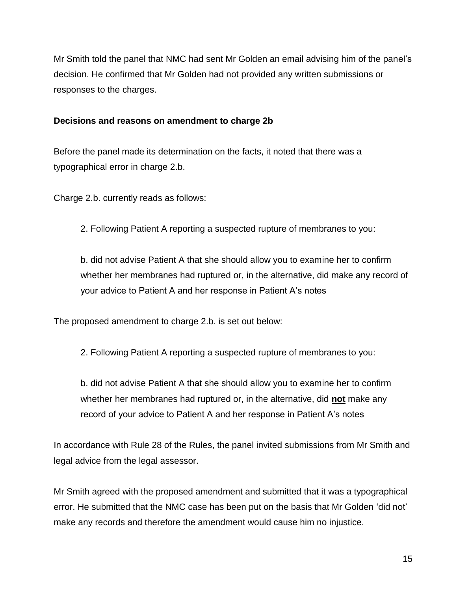Mr Smith told the panel that NMC had sent Mr Golden an email advising him of the panel's decision. He confirmed that Mr Golden had not provided any written submissions or responses to the charges.

### **Decisions and reasons on amendment to charge 2b**

Before the panel made its determination on the facts, it noted that there was a typographical error in charge 2.b.

Charge 2.b. currently reads as follows:

2. Following Patient A reporting a suspected rupture of membranes to you:

b. did not advise Patient A that she should allow you to examine her to confirm whether her membranes had ruptured or, in the alternative, did make any record of your advice to Patient A and her response in Patient A's notes

The proposed amendment to charge 2.b. is set out below:

2. Following Patient A reporting a suspected rupture of membranes to you:

b. did not advise Patient A that she should allow you to examine her to confirm whether her membranes had ruptured or, in the alternative, did **not** make any record of your advice to Patient A and her response in Patient A's notes

In accordance with Rule 28 of the Rules, the panel invited submissions from Mr Smith and legal advice from the legal assessor.

Mr Smith agreed with the proposed amendment and submitted that it was a typographical error. He submitted that the NMC case has been put on the basis that Mr Golden 'did not' make any records and therefore the amendment would cause him no injustice.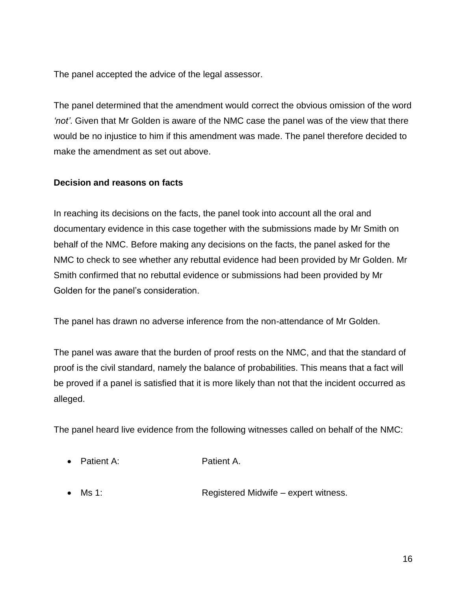The panel accepted the advice of the legal assessor.

The panel determined that the amendment would correct the obvious omission of the word *'not'*. Given that Mr Golden is aware of the NMC case the panel was of the view that there would be no injustice to him if this amendment was made. The panel therefore decided to make the amendment as set out above.

### **Decision and reasons on facts**

In reaching its decisions on the facts, the panel took into account all the oral and documentary evidence in this case together with the submissions made by Mr Smith on behalf of the NMC. Before making any decisions on the facts, the panel asked for the NMC to check to see whether any rebuttal evidence had been provided by Mr Golden. Mr Smith confirmed that no rebuttal evidence or submissions had been provided by Mr Golden for the panel's consideration.

The panel has drawn no adverse inference from the non-attendance of Mr Golden.

The panel was aware that the burden of proof rests on the NMC, and that the standard of proof is the civil standard, namely the balance of probabilities. This means that a fact will be proved if a panel is satisfied that it is more likely than not that the incident occurred as alleged.

The panel heard live evidence from the following witnesses called on behalf of the NMC:

- Patient A: Patient A.
- Ms 1: Registered Midwife expert witness.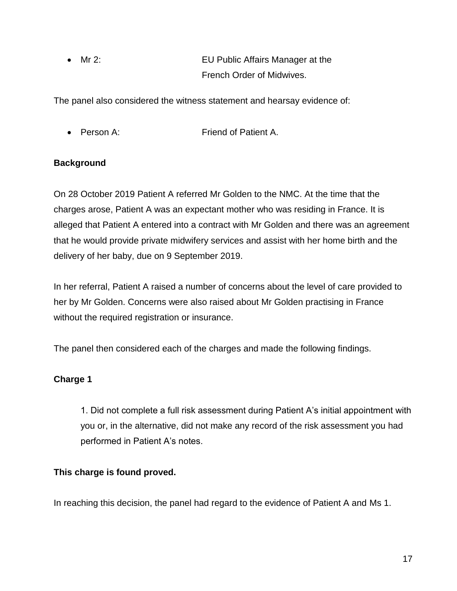Mr 2: EU Public Affairs Manager at the French Order of Midwives.

The panel also considered the witness statement and hearsay evidence of:

• Person A: Friend of Patient A.

## **Background**

On 28 October 2019 Patient A referred Mr Golden to the NMC. At the time that the charges arose, Patient A was an expectant mother who was residing in France. It is alleged that Patient A entered into a contract with Mr Golden and there was an agreement that he would provide private midwifery services and assist with her home birth and the delivery of her baby, due on 9 September 2019.

In her referral, Patient A raised a number of concerns about the level of care provided to her by Mr Golden. Concerns were also raised about Mr Golden practising in France without the required registration or insurance.

The panel then considered each of the charges and made the following findings.

## **Charge 1**

1. Did not complete a full risk assessment during Patient A's initial appointment with you or, in the alternative, did not make any record of the risk assessment you had performed in Patient A's notes.

## **This charge is found proved.**

In reaching this decision, the panel had regard to the evidence of Patient A and Ms 1.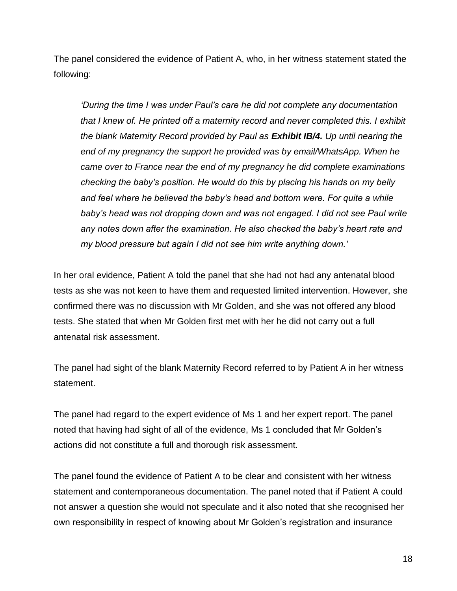The panel considered the evidence of Patient A, who, in her witness statement stated the following:

*'During the time I was under Paul's care he did not complete any documentation that I knew of. He printed off a maternity record and never completed this. I exhibit the blank Maternity Record provided by Paul as Exhibit IB/4. Up until nearing the end of my pregnancy the support he provided was by email/WhatsApp. When he came over to France near the end of my pregnancy he did complete examinations checking the baby's position. He would do this by placing his hands on my belly and feel where he believed the baby's head and bottom were. For quite a while*  baby's head was not dropping down and was not engaged. I did not see Paul write *any notes down after the examination. He also checked the baby's heart rate and my blood pressure but again I did not see him write anything down.'*

In her oral evidence, Patient A told the panel that she had not had any antenatal blood tests as she was not keen to have them and requested limited intervention. However, she confirmed there was no discussion with Mr Golden, and she was not offered any blood tests. She stated that when Mr Golden first met with her he did not carry out a full antenatal risk assessment.

The panel had sight of the blank Maternity Record referred to by Patient A in her witness statement.

The panel had regard to the expert evidence of Ms 1 and her expert report. The panel noted that having had sight of all of the evidence, Ms 1 concluded that Mr Golden's actions did not constitute a full and thorough risk assessment.

The panel found the evidence of Patient A to be clear and consistent with her witness statement and contemporaneous documentation. The panel noted that if Patient A could not answer a question she would not speculate and it also noted that she recognised her own responsibility in respect of knowing about Mr Golden's registration and insurance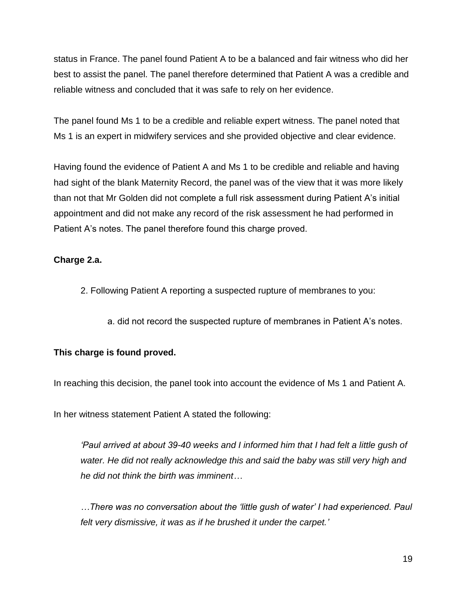status in France. The panel found Patient A to be a balanced and fair witness who did her best to assist the panel. The panel therefore determined that Patient A was a credible and reliable witness and concluded that it was safe to rely on her evidence.

The panel found Ms 1 to be a credible and reliable expert witness. The panel noted that Ms 1 is an expert in midwifery services and she provided objective and clear evidence.

Having found the evidence of Patient A and Ms 1 to be credible and reliable and having had sight of the blank Maternity Record, the panel was of the view that it was more likely than not that Mr Golden did not complete a full risk assessment during Patient A's initial appointment and did not make any record of the risk assessment he had performed in Patient A's notes. The panel therefore found this charge proved.

### **Charge 2.a.**

- 2. Following Patient A reporting a suspected rupture of membranes to you:
	- a. did not record the suspected rupture of membranes in Patient A's notes.

## **This charge is found proved.**

In reaching this decision, the panel took into account the evidence of Ms 1 and Patient A.

In her witness statement Patient A stated the following:

*'Paul arrived at about 39-40 weeks and I informed him that I had felt a little gush of*  water. He did not really acknowledge this and said the baby was still very high and *he did not think the birth was imminent…*

*…There was no conversation about the 'little gush of water' I had experienced. Paul felt very dismissive, it was as if he brushed it under the carpet.'*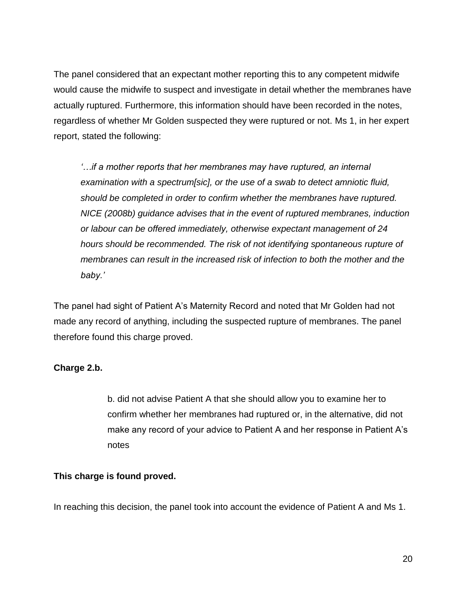The panel considered that an expectant mother reporting this to any competent midwife would cause the midwife to suspect and investigate in detail whether the membranes have actually ruptured. Furthermore, this information should have been recorded in the notes, regardless of whether Mr Golden suspected they were ruptured or not. Ms 1, in her expert report, stated the following:

*'…if a mother reports that her membranes may have ruptured, an internal examination with a spectrum[sic], or the use of a swab to detect amniotic fluid, should be completed in order to confirm whether the membranes have ruptured. NICE (2008b) guidance advises that in the event of ruptured membranes, induction or labour can be offered immediately, otherwise expectant management of 24 hours should be recommended. The risk of not identifying spontaneous rupture of membranes can result in the increased risk of infection to both the mother and the baby.'*

The panel had sight of Patient A's Maternity Record and noted that Mr Golden had not made any record of anything, including the suspected rupture of membranes. The panel therefore found this charge proved.

## **Charge 2.b.**

b. did not advise Patient A that she should allow you to examine her to confirm whether her membranes had ruptured or, in the alternative, did not make any record of your advice to Patient A and her response in Patient A's notes

### **This charge is found proved.**

In reaching this decision, the panel took into account the evidence of Patient A and Ms 1.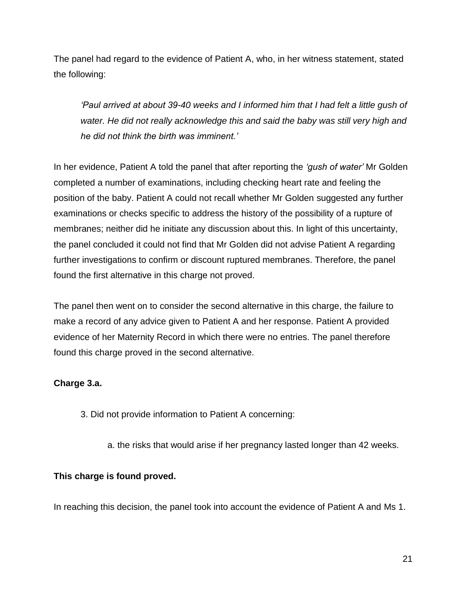The panel had regard to the evidence of Patient A, who, in her witness statement, stated the following:

*'Paul arrived at about 39-40 weeks and I informed him that I had felt a little gush of*  water. He did not really acknowledge this and said the baby was still very high and *he did not think the birth was imminent.'*

In her evidence, Patient A told the panel that after reporting the *'gush of water'* Mr Golden completed a number of examinations, including checking heart rate and feeling the position of the baby. Patient A could not recall whether Mr Golden suggested any further examinations or checks specific to address the history of the possibility of a rupture of membranes; neither did he initiate any discussion about this. In light of this uncertainty, the panel concluded it could not find that Mr Golden did not advise Patient A regarding further investigations to confirm or discount ruptured membranes. Therefore, the panel found the first alternative in this charge not proved.

The panel then went on to consider the second alternative in this charge, the failure to make a record of any advice given to Patient A and her response. Patient A provided evidence of her Maternity Record in which there were no entries. The panel therefore found this charge proved in the second alternative.

### **Charge 3.a.**

- 3. Did not provide information to Patient A concerning:
	- a. the risks that would arise if her pregnancy lasted longer than 42 weeks.

## **This charge is found proved.**

In reaching this decision, the panel took into account the evidence of Patient A and Ms 1.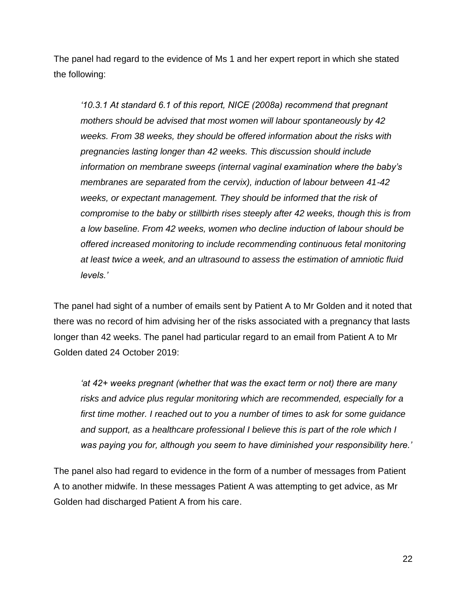The panel had regard to the evidence of Ms 1 and her expert report in which she stated the following:

*'10.3.1 At standard 6.1 of this report, NICE (2008a) recommend that pregnant mothers should be advised that most women will labour spontaneously by 42 weeks. From 38 weeks, they should be offered information about the risks with pregnancies lasting longer than 42 weeks. This discussion should include information on membrane sweeps (internal vaginal examination where the baby's membranes are separated from the cervix), induction of labour between 41-42 weeks, or expectant management. They should be informed that the risk of compromise to the baby or stillbirth rises steeply after 42 weeks, though this is from a low baseline. From 42 weeks, women who decline induction of labour should be offered increased monitoring to include recommending continuous fetal monitoring at least twice a week, and an ultrasound to assess the estimation of amniotic fluid levels.'*

The panel had sight of a number of emails sent by Patient A to Mr Golden and it noted that there was no record of him advising her of the risks associated with a pregnancy that lasts longer than 42 weeks. The panel had particular regard to an email from Patient A to Mr Golden dated 24 October 2019:

*'at 42+ weeks pregnant (whether that was the exact term or not) there are many risks and advice plus regular monitoring which are recommended, especially for a first time mother. I reached out to you a number of times to ask for some guidance and support, as a healthcare professional I believe this is part of the role which I was paying you for, although you seem to have diminished your responsibility here.'*

The panel also had regard to evidence in the form of a number of messages from Patient A to another midwife. In these messages Patient A was attempting to get advice, as Mr Golden had discharged Patient A from his care.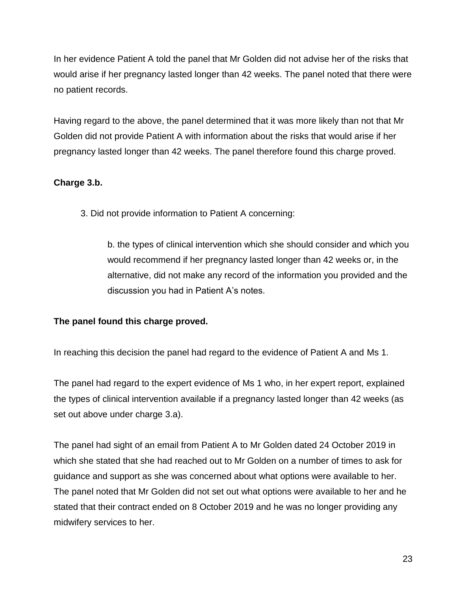In her evidence Patient A told the panel that Mr Golden did not advise her of the risks that would arise if her pregnancy lasted longer than 42 weeks. The panel noted that there were no patient records.

Having regard to the above, the panel determined that it was more likely than not that Mr Golden did not provide Patient A with information about the risks that would arise if her pregnancy lasted longer than 42 weeks. The panel therefore found this charge proved.

### **Charge 3.b.**

3. Did not provide information to Patient A concerning:

b. the types of clinical intervention which she should consider and which you would recommend if her pregnancy lasted longer than 42 weeks or, in the alternative, did not make any record of the information you provided and the discussion you had in Patient A's notes.

## **The panel found this charge proved.**

In reaching this decision the panel had regard to the evidence of Patient A and Ms 1.

The panel had regard to the expert evidence of Ms 1 who, in her expert report, explained the types of clinical intervention available if a pregnancy lasted longer than 42 weeks (as set out above under charge 3.a).

The panel had sight of an email from Patient A to Mr Golden dated 24 October 2019 in which she stated that she had reached out to Mr Golden on a number of times to ask for guidance and support as she was concerned about what options were available to her. The panel noted that Mr Golden did not set out what options were available to her and he stated that their contract ended on 8 October 2019 and he was no longer providing any midwifery services to her.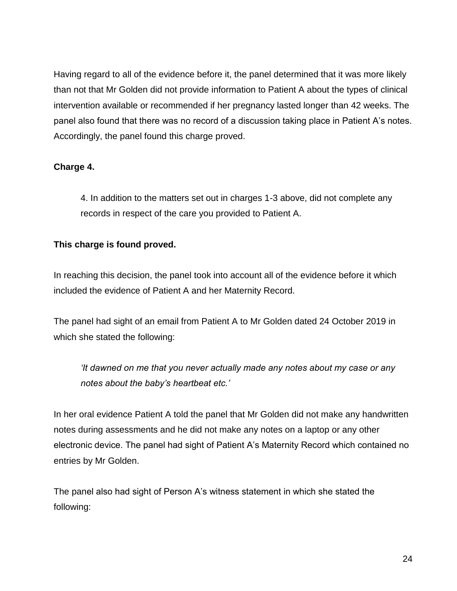Having regard to all of the evidence before it, the panel determined that it was more likely than not that Mr Golden did not provide information to Patient A about the types of clinical intervention available or recommended if her pregnancy lasted longer than 42 weeks. The panel also found that there was no record of a discussion taking place in Patient A's notes. Accordingly, the panel found this charge proved.

## **Charge 4.**

4. In addition to the matters set out in charges 1-3 above, did not complete any records in respect of the care you provided to Patient A.

### **This charge is found proved.**

In reaching this decision, the panel took into account all of the evidence before it which included the evidence of Patient A and her Maternity Record.

The panel had sight of an email from Patient A to Mr Golden dated 24 October 2019 in which she stated the following:

*'It dawned on me that you never actually made any notes about my case or any notes about the baby's heartbeat etc.'*

In her oral evidence Patient A told the panel that Mr Golden did not make any handwritten notes during assessments and he did not make any notes on a laptop or any other electronic device. The panel had sight of Patient A's Maternity Record which contained no entries by Mr Golden.

The panel also had sight of Person A's witness statement in which she stated the following: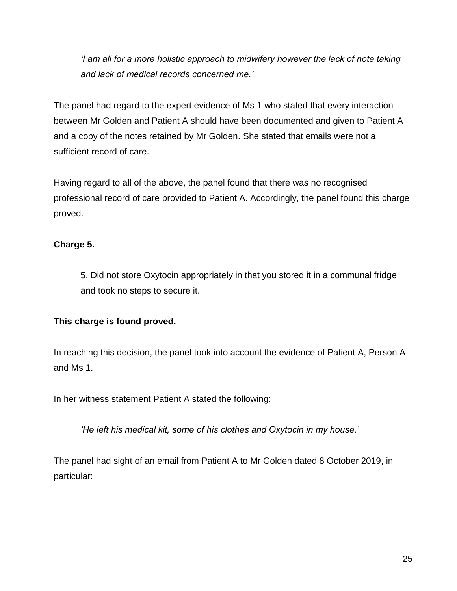*'I am all for a more holistic approach to midwifery however the lack of note taking and lack of medical records concerned me.'*

The panel had regard to the expert evidence of Ms 1 who stated that every interaction between Mr Golden and Patient A should have been documented and given to Patient A and a copy of the notes retained by Mr Golden. She stated that emails were not a sufficient record of care.

Having regard to all of the above, the panel found that there was no recognised professional record of care provided to Patient A. Accordingly, the panel found this charge proved.

## **Charge 5.**

5. Did not store Oxytocin appropriately in that you stored it in a communal fridge and took no steps to secure it.

## **This charge is found proved.**

In reaching this decision, the panel took into account the evidence of Patient A, Person A and Ms 1.

In her witness statement Patient A stated the following:

*'He left his medical kit, some of his clothes and Oxytocin in my house.'*

The panel had sight of an email from Patient A to Mr Golden dated 8 October 2019, in particular: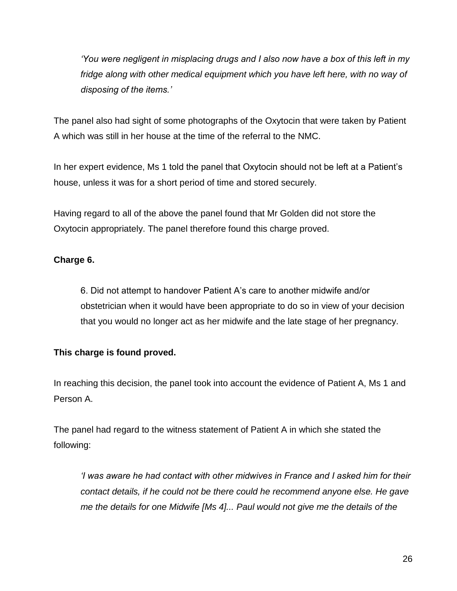*'You were negligent in misplacing drugs and I also now have a box of this left in my fridge along with other medical equipment which you have left here, with no way of disposing of the items.'*

The panel also had sight of some photographs of the Oxytocin that were taken by Patient A which was still in her house at the time of the referral to the NMC.

In her expert evidence, Ms 1 told the panel that Oxytocin should not be left at a Patient's house, unless it was for a short period of time and stored securely.

Having regard to all of the above the panel found that Mr Golden did not store the Oxytocin appropriately. The panel therefore found this charge proved.

## **Charge 6.**

6. Did not attempt to handover Patient A's care to another midwife and/or obstetrician when it would have been appropriate to do so in view of your decision that you would no longer act as her midwife and the late stage of her pregnancy.

## **This charge is found proved.**

In reaching this decision, the panel took into account the evidence of Patient A, Ms 1 and Person A.

The panel had regard to the witness statement of Patient A in which she stated the following:

*'I was aware he had contact with other midwives in France and I asked him for their contact details, if he could not be there could he recommend anyone else. He gave me the details for one Midwife [Ms 4]... Paul would not give me the details of the*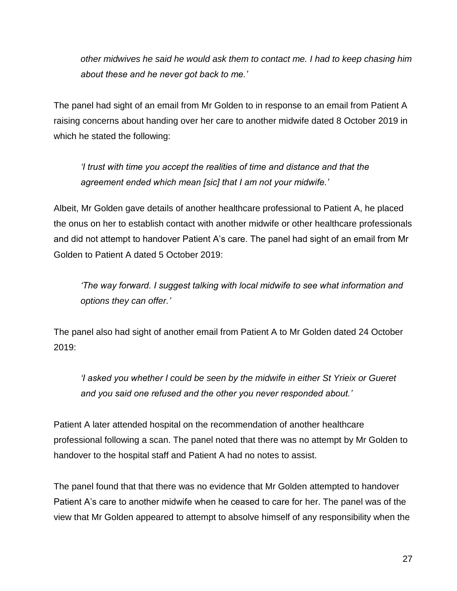*other midwives he said he would ask them to contact me. I had to keep chasing him about these and he never got back to me.'* 

The panel had sight of an email from Mr Golden to in response to an email from Patient A raising concerns about handing over her care to another midwife dated 8 October 2019 in which he stated the following:

*'I trust with time you accept the realities of time and distance and that the agreement ended which mean [sic] that I am not your midwife.'*

Albeit, Mr Golden gave details of another healthcare professional to Patient A, he placed the onus on her to establish contact with another midwife or other healthcare professionals and did not attempt to handover Patient A's care. The panel had sight of an email from Mr Golden to Patient A dated 5 October 2019:

*'The way forward. I suggest talking with local midwife to see what information and options they can offer.'*

The panel also had sight of another email from Patient A to Mr Golden dated 24 October 2019:

*'I asked you whether I could be seen by the midwife in either St Yrieix or Gueret and you said one refused and the other you never responded about.'*

Patient A later attended hospital on the recommendation of another healthcare professional following a scan. The panel noted that there was no attempt by Mr Golden to handover to the hospital staff and Patient A had no notes to assist.

The panel found that that there was no evidence that Mr Golden attempted to handover Patient A's care to another midwife when he ceased to care for her. The panel was of the view that Mr Golden appeared to attempt to absolve himself of any responsibility when the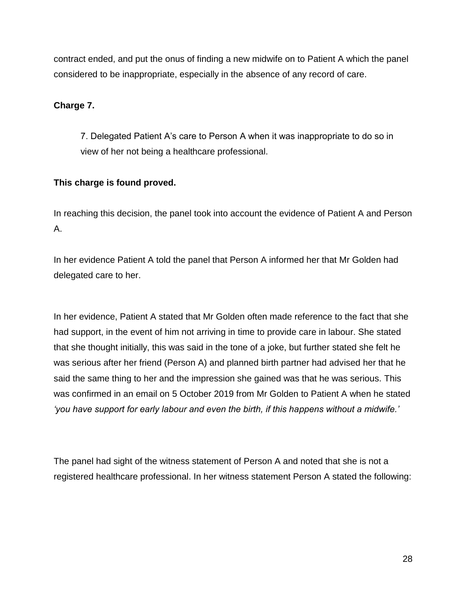contract ended, and put the onus of finding a new midwife on to Patient A which the panel considered to be inappropriate, especially in the absence of any record of care.

### **Charge 7.**

7. Delegated Patient A's care to Person A when it was inappropriate to do so in view of her not being a healthcare professional.

### **This charge is found proved.**

In reaching this decision, the panel took into account the evidence of Patient A and Person A.

In her evidence Patient A told the panel that Person A informed her that Mr Golden had delegated care to her.

In her evidence, Patient A stated that Mr Golden often made reference to the fact that she had support, in the event of him not arriving in time to provide care in labour. She stated that she thought initially, this was said in the tone of a joke, but further stated she felt he was serious after her friend (Person A) and planned birth partner had advised her that he said the same thing to her and the impression she gained was that he was serious. This was confirmed in an email on 5 October 2019 from Mr Golden to Patient A when he stated *'you have support for early labour and even the birth, if this happens without a midwife.'*

The panel had sight of the witness statement of Person A and noted that she is not a registered healthcare professional. In her witness statement Person A stated the following: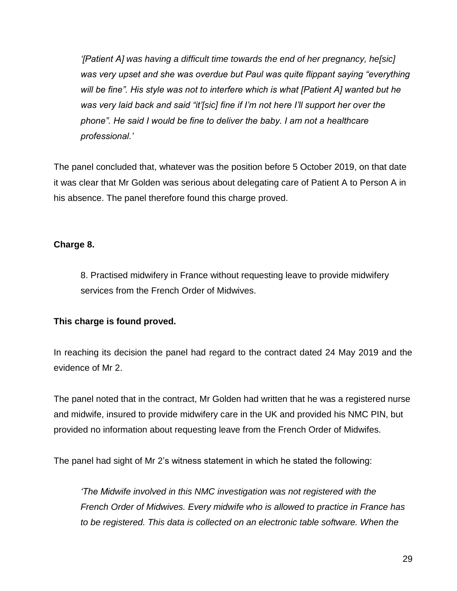*'[Patient A] was having a difficult time towards the end of her pregnancy, he[sic] was very upset and she was overdue but Paul was quite flippant saying "everything will be fine". His style was not to interfere which is what [Patient A] wanted but he was very laid back and said "it'[sic] fine if I'm not here I'll support her over the phone". He said I would be fine to deliver the baby. I am not a healthcare professional.'*

The panel concluded that, whatever was the position before 5 October 2019, on that date it was clear that Mr Golden was serious about delegating care of Patient A to Person A in his absence. The panel therefore found this charge proved.

### **Charge 8.**

8. Practised midwifery in France without requesting leave to provide midwifery services from the French Order of Midwives.

### **This charge is found proved.**

In reaching its decision the panel had regard to the contract dated 24 May 2019 and the evidence of Mr 2.

The panel noted that in the contract, Mr Golden had written that he was a registered nurse and midwife, insured to provide midwifery care in the UK and provided his NMC PIN, but provided no information about requesting leave from the French Order of Midwifes.

The panel had sight of Mr 2's witness statement in which he stated the following:

*'The Midwife involved in this NMC investigation was not registered with the French Order of Midwives. Every midwife who is allowed to practice in France has to be registered. This data is collected on an electronic table software. When the*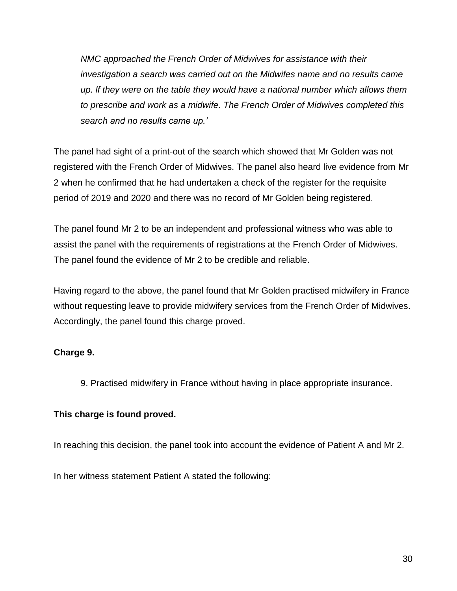*NMC approached the French Order of Midwives for assistance with their investigation a search was carried out on the Midwifes name and no results came up. lf they were on the table they would have a national number which allows them to prescribe and work as a midwife. The French Order of Midwives completed this search and no results came up.'*

The panel had sight of a print-out of the search which showed that Mr Golden was not registered with the French Order of Midwives. The panel also heard live evidence from Mr 2 when he confirmed that he had undertaken a check of the register for the requisite period of 2019 and 2020 and there was no record of Mr Golden being registered.

The panel found Mr 2 to be an independent and professional witness who was able to assist the panel with the requirements of registrations at the French Order of Midwives. The panel found the evidence of Mr 2 to be credible and reliable.

Having regard to the above, the panel found that Mr Golden practised midwifery in France without requesting leave to provide midwifery services from the French Order of Midwives. Accordingly, the panel found this charge proved.

## **Charge 9.**

9. Practised midwifery in France without having in place appropriate insurance.

## **This charge is found proved.**

In reaching this decision, the panel took into account the evidence of Patient A and Mr 2.

In her witness statement Patient A stated the following: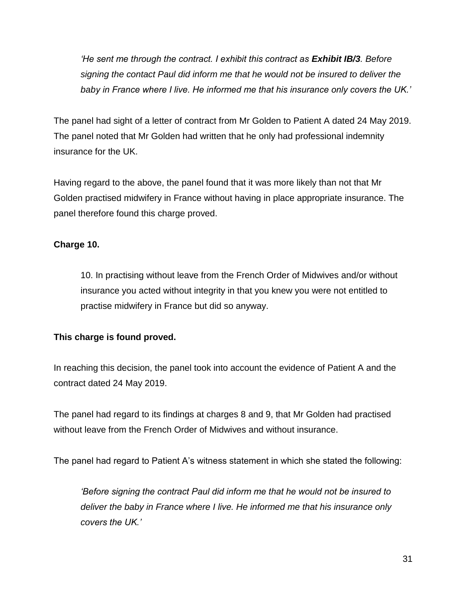*He sent me through the contract. I exhibit this contract as <i>Exhibit IB/3*. Before *signing the contact Paul did inform me that he would not be insured to deliver the baby in France where I live. He informed me that his insurance only covers the UK.'*

The panel had sight of a letter of contract from Mr Golden to Patient A dated 24 May 2019. The panel noted that Mr Golden had written that he only had professional indemnity insurance for the UK.

Having regard to the above, the panel found that it was more likely than not that Mr Golden practised midwifery in France without having in place appropriate insurance. The panel therefore found this charge proved.

## **Charge 10.**

10. In practising without leave from the French Order of Midwives and/or without insurance you acted without integrity in that you knew you were not entitled to practise midwifery in France but did so anyway.

## **This charge is found proved.**

In reaching this decision, the panel took into account the evidence of Patient A and the contract dated 24 May 2019.

The panel had regard to its findings at charges 8 and 9, that Mr Golden had practised without leave from the French Order of Midwives and without insurance.

The panel had regard to Patient A's witness statement in which she stated the following:

*'Before signing the contract Paul did inform me that he would not be insured to deliver the baby in France where I live. He informed me that his insurance only covers the UK.'*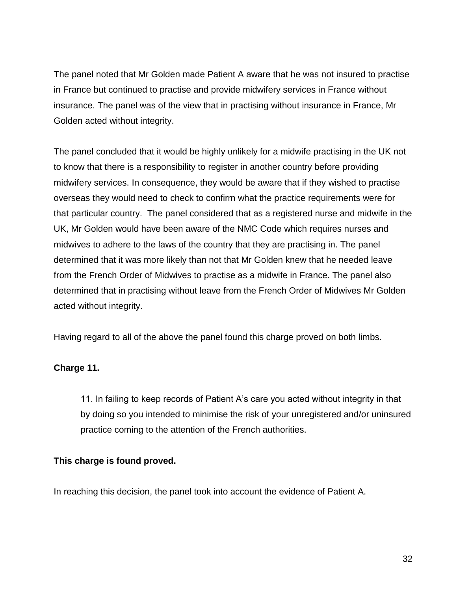The panel noted that Mr Golden made Patient A aware that he was not insured to practise in France but continued to practise and provide midwifery services in France without insurance. The panel was of the view that in practising without insurance in France, Mr Golden acted without integrity.

The panel concluded that it would be highly unlikely for a midwife practising in the UK not to know that there is a responsibility to register in another country before providing midwifery services. In consequence, they would be aware that if they wished to practise overseas they would need to check to confirm what the practice requirements were for that particular country. The panel considered that as a registered nurse and midwife in the UK, Mr Golden would have been aware of the NMC Code which requires nurses and midwives to adhere to the laws of the country that they are practising in. The panel determined that it was more likely than not that Mr Golden knew that he needed leave from the French Order of Midwives to practise as a midwife in France. The panel also determined that in practising without leave from the French Order of Midwives Mr Golden acted without integrity.

Having regard to all of the above the panel found this charge proved on both limbs.

### **Charge 11.**

11. In failing to keep records of Patient A's care you acted without integrity in that by doing so you intended to minimise the risk of your unregistered and/or uninsured practice coming to the attention of the French authorities.

### **This charge is found proved.**

In reaching this decision, the panel took into account the evidence of Patient A.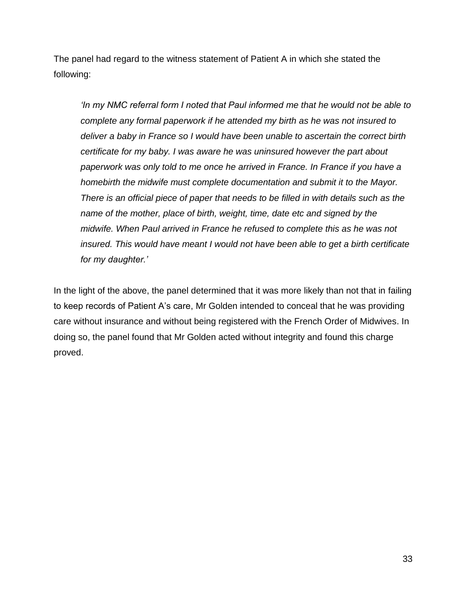The panel had regard to the witness statement of Patient A in which she stated the following:

*'In my NMC referral form I noted that Paul informed me that he would not be able to complete any formal paperwork if he attended my birth as he was not insured to deliver a baby in France so I would have been unable to ascertain the correct birth certificate for my baby. I was aware he was uninsured however the part about paperwork was only told to me once he arrived in France. In France if you have a homebirth the midwife must complete documentation and submit it to the Mayor. There is an official piece of paper that needs to be filled in with details such as the name of the mother, place of birth, weight, time, date etc and signed by the midwife. When Paul arrived in France he refused to complete this as he was not insured. This would have meant I would not have been able to get a birth certificate for my daughter.'*

In the light of the above, the panel determined that it was more likely than not that in failing to keep records of Patient A's care, Mr Golden intended to conceal that he was providing care without insurance and without being registered with the French Order of Midwives. In doing so, the panel found that Mr Golden acted without integrity and found this charge proved.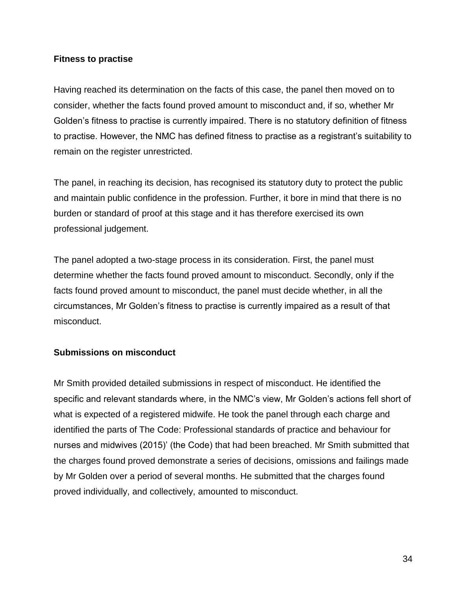#### **Fitness to practise**

Having reached its determination on the facts of this case, the panel then moved on to consider, whether the facts found proved amount to misconduct and, if so, whether Mr Golden's fitness to practise is currently impaired. There is no statutory definition of fitness to practise. However, the NMC has defined fitness to practise as a registrant's suitability to remain on the register unrestricted.

The panel, in reaching its decision, has recognised its statutory duty to protect the public and maintain public confidence in the profession. Further, it bore in mind that there is no burden or standard of proof at this stage and it has therefore exercised its own professional judgement.

The panel adopted a two-stage process in its consideration. First, the panel must determine whether the facts found proved amount to misconduct. Secondly, only if the facts found proved amount to misconduct, the panel must decide whether, in all the circumstances, Mr Golden's fitness to practise is currently impaired as a result of that misconduct.

### **Submissions on misconduct**

Mr Smith provided detailed submissions in respect of misconduct. He identified the specific and relevant standards where, in the NMC's view, Mr Golden's actions fell short of what is expected of a registered midwife. He took the panel through each charge and identified the parts of The Code: Professional standards of practice and behaviour for nurses and midwives (2015)' (the Code) that had been breached. Mr Smith submitted that the charges found proved demonstrate a series of decisions, omissions and failings made by Mr Golden over a period of several months. He submitted that the charges found proved individually, and collectively, amounted to misconduct.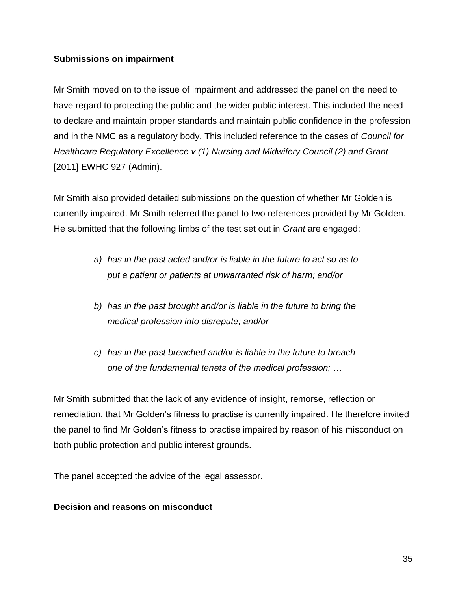#### **Submissions on impairment**

Mr Smith moved on to the issue of impairment and addressed the panel on the need to have regard to protecting the public and the wider public interest. This included the need to declare and maintain proper standards and maintain public confidence in the profession and in the NMC as a regulatory body. This included reference to the cases of *Council for Healthcare Regulatory Excellence v (1) Nursing and Midwifery Council (2) and Grant*  [2011] EWHC 927 (Admin).

Mr Smith also provided detailed submissions on the question of whether Mr Golden is currently impaired. Mr Smith referred the panel to two references provided by Mr Golden. He submitted that the following limbs of the test set out in *Grant* are engaged:

- *a) has in the past acted and/or is liable in the future to act so as to put a patient or patients at unwarranted risk of harm; and/or*
- *b) has in the past brought and/or is liable in the future to bring the medical profession into disrepute; and/or*
- *c) has in the past breached and/or is liable in the future to breach one of the fundamental tenets of the medical profession; …*

Mr Smith submitted that the lack of any evidence of insight, remorse, reflection or remediation, that Mr Golden's fitness to practise is currently impaired. He therefore invited the panel to find Mr Golden's fitness to practise impaired by reason of his misconduct on both public protection and public interest grounds.

The panel accepted the advice of the legal assessor.

### **Decision and reasons on misconduct**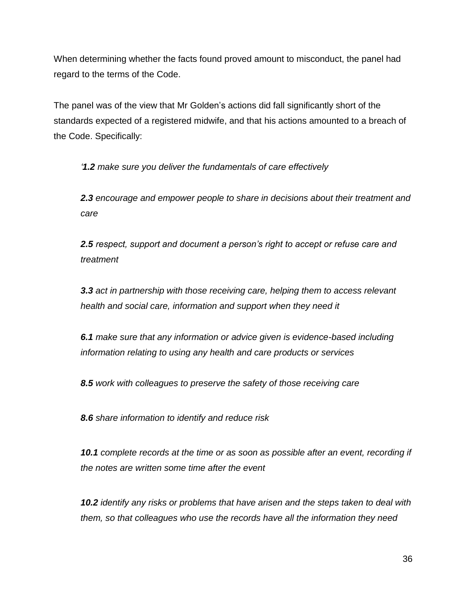When determining whether the facts found proved amount to misconduct, the panel had regard to the terms of the Code.

The panel was of the view that Mr Golden's actions did fall significantly short of the standards expected of a registered midwife, and that his actions amounted to a breach of the Code. Specifically:

*'1.2 make sure you deliver the fundamentals of care effectively*

*2.3 encourage and empower people to share in decisions about their treatment and care*

*2.5 respect, support and document a person's right to accept or refuse care and treatment*

*3.3 act in partnership with those receiving care, helping them to access relevant health and social care, information and support when they need it*

*6.1 make sure that any information or advice given is evidence-based including information relating to using any health and care products or services*

*8.5 work with colleagues to preserve the safety of those receiving care* 

*8.6 share information to identify and reduce risk*

*10.1 complete records at the time or as soon as possible after an event, recording if the notes are written some time after the event* 

*10.2 identify any risks or problems that have arisen and the steps taken to deal with them, so that colleagues who use the records have all the information they need*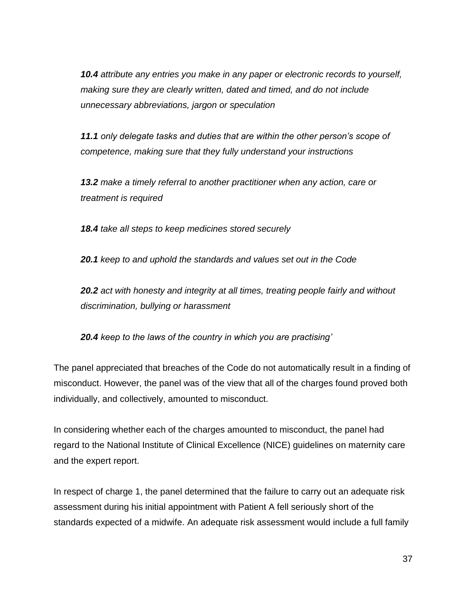*10.4 attribute any entries you make in any paper or electronic records to yourself, making sure they are clearly written, dated and timed, and do not include unnecessary abbreviations, jargon or speculation*

*11.1 only delegate tasks and duties that are within the other person's scope of competence, making sure that they fully understand your instructions*

*13.2 make a timely referral to another practitioner when any action, care or treatment is required*

*18.4 take all steps to keep medicines stored securely*

*20.1 keep to and uphold the standards and values set out in the Code*

*20.2 act with honesty and integrity at all times, treating people fairly and without discrimination, bullying or harassment*

*20.4 keep to the laws of the country in which you are practising'*

The panel appreciated that breaches of the Code do not automatically result in a finding of misconduct. However, the panel was of the view that all of the charges found proved both individually, and collectively, amounted to misconduct.

In considering whether each of the charges amounted to misconduct, the panel had regard to the National Institute of Clinical Excellence (NICE) guidelines on maternity care and the expert report.

In respect of charge 1, the panel determined that the failure to carry out an adequate risk assessment during his initial appointment with Patient A fell seriously short of the standards expected of a midwife. An adequate risk assessment would include a full family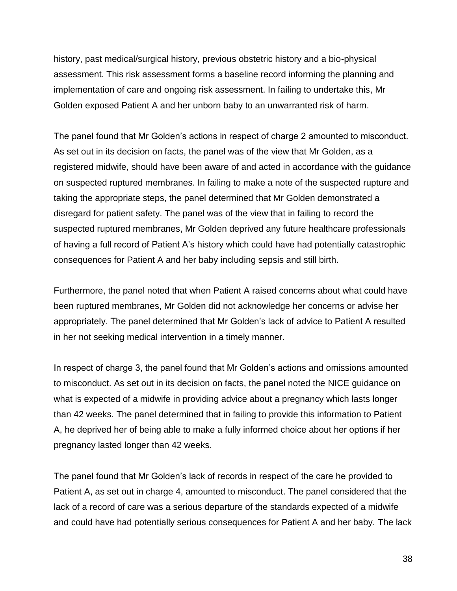history, past medical/surgical history, previous obstetric history and a bio-physical assessment. This risk assessment forms a baseline record informing the planning and implementation of care and ongoing risk assessment. In failing to undertake this, Mr Golden exposed Patient A and her unborn baby to an unwarranted risk of harm.

The panel found that Mr Golden's actions in respect of charge 2 amounted to misconduct. As set out in its decision on facts, the panel was of the view that Mr Golden, as a registered midwife, should have been aware of and acted in accordance with the guidance on suspected ruptured membranes. In failing to make a note of the suspected rupture and taking the appropriate steps, the panel determined that Mr Golden demonstrated a disregard for patient safety. The panel was of the view that in failing to record the suspected ruptured membranes, Mr Golden deprived any future healthcare professionals of having a full record of Patient A's history which could have had potentially catastrophic consequences for Patient A and her baby including sepsis and still birth.

Furthermore, the panel noted that when Patient A raised concerns about what could have been ruptured membranes, Mr Golden did not acknowledge her concerns or advise her appropriately. The panel determined that Mr Golden's lack of advice to Patient A resulted in her not seeking medical intervention in a timely manner.

In respect of charge 3, the panel found that Mr Golden's actions and omissions amounted to misconduct. As set out in its decision on facts, the panel noted the NICE guidance on what is expected of a midwife in providing advice about a pregnancy which lasts longer than 42 weeks. The panel determined that in failing to provide this information to Patient A, he deprived her of being able to make a fully informed choice about her options if her pregnancy lasted longer than 42 weeks.

The panel found that Mr Golden's lack of records in respect of the care he provided to Patient A, as set out in charge 4, amounted to misconduct. The panel considered that the lack of a record of care was a serious departure of the standards expected of a midwife and could have had potentially serious consequences for Patient A and her baby. The lack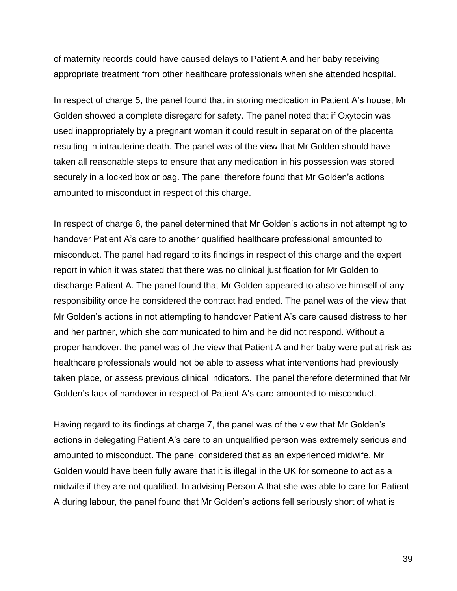of maternity records could have caused delays to Patient A and her baby receiving appropriate treatment from other healthcare professionals when she attended hospital.

In respect of charge 5, the panel found that in storing medication in Patient A's house, Mr Golden showed a complete disregard for safety. The panel noted that if Oxytocin was used inappropriately by a pregnant woman it could result in separation of the placenta resulting in intrauterine death. The panel was of the view that Mr Golden should have taken all reasonable steps to ensure that any medication in his possession was stored securely in a locked box or bag. The panel therefore found that Mr Golden's actions amounted to misconduct in respect of this charge.

In respect of charge 6, the panel determined that Mr Golden's actions in not attempting to handover Patient A's care to another qualified healthcare professional amounted to misconduct. The panel had regard to its findings in respect of this charge and the expert report in which it was stated that there was no clinical justification for Mr Golden to discharge Patient A. The panel found that Mr Golden appeared to absolve himself of any responsibility once he considered the contract had ended. The panel was of the view that Mr Golden's actions in not attempting to handover Patient A's care caused distress to her and her partner, which she communicated to him and he did not respond. Without a proper handover, the panel was of the view that Patient A and her baby were put at risk as healthcare professionals would not be able to assess what interventions had previously taken place, or assess previous clinical indicators. The panel therefore determined that Mr Golden's lack of handover in respect of Patient A's care amounted to misconduct.

Having regard to its findings at charge 7, the panel was of the view that Mr Golden's actions in delegating Patient A's care to an unqualified person was extremely serious and amounted to misconduct. The panel considered that as an experienced midwife, Mr Golden would have been fully aware that it is illegal in the UK for someone to act as a midwife if they are not qualified. In advising Person A that she was able to care for Patient A during labour, the panel found that Mr Golden's actions fell seriously short of what is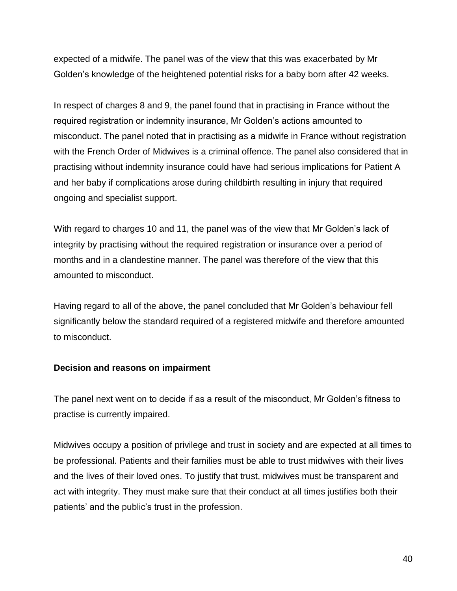expected of a midwife. The panel was of the view that this was exacerbated by Mr Golden's knowledge of the heightened potential risks for a baby born after 42 weeks.

In respect of charges 8 and 9, the panel found that in practising in France without the required registration or indemnity insurance, Mr Golden's actions amounted to misconduct. The panel noted that in practising as a midwife in France without registration with the French Order of Midwives is a criminal offence. The panel also considered that in practising without indemnity insurance could have had serious implications for Patient A and her baby if complications arose during childbirth resulting in injury that required ongoing and specialist support.

With regard to charges 10 and 11, the panel was of the view that Mr Golden's lack of integrity by practising without the required registration or insurance over a period of months and in a clandestine manner. The panel was therefore of the view that this amounted to misconduct.

Having regard to all of the above, the panel concluded that Mr Golden's behaviour fell significantly below the standard required of a registered midwife and therefore amounted to misconduct.

### **Decision and reasons on impairment**

The panel next went on to decide if as a result of the misconduct, Mr Golden's fitness to practise is currently impaired.

Midwives occupy a position of privilege and trust in society and are expected at all times to be professional. Patients and their families must be able to trust midwives with their lives and the lives of their loved ones. To justify that trust, midwives must be transparent and act with integrity. They must make sure that their conduct at all times justifies both their patients' and the public's trust in the profession.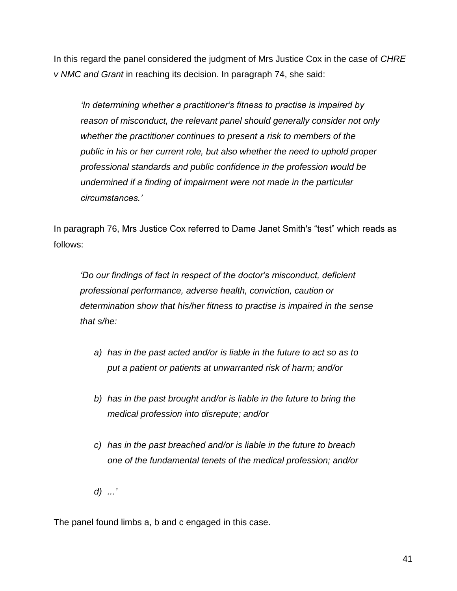In this regard the panel considered the judgment of Mrs Justice Cox in the case of *CHRE v NMC and Grant* in reaching its decision. In paragraph 74, she said:

*'In determining whether a practitioner's fitness to practise is impaired by reason of misconduct, the relevant panel should generally consider not only whether the practitioner continues to present a risk to members of the public in his or her current role, but also whether the need to uphold proper professional standards and public confidence in the profession would be undermined if a finding of impairment were not made in the particular circumstances.'*

In paragraph 76, Mrs Justice Cox referred to Dame Janet Smith's "test" which reads as follows:

*'Do our findings of fact in respect of the doctor's misconduct, deficient professional performance, adverse health, conviction, caution or determination show that his/her fitness to practise is impaired in the sense that s/he:*

- *a) has in the past acted and/or is liable in the future to act so as to put a patient or patients at unwarranted risk of harm; and/or*
- *b) has in the past brought and/or is liable in the future to bring the medical profession into disrepute; and/or*
- *c) has in the past breached and/or is liable in the future to breach one of the fundamental tenets of the medical profession; and/or*
- *d) ...'*

The panel found limbs a, b and c engaged in this case.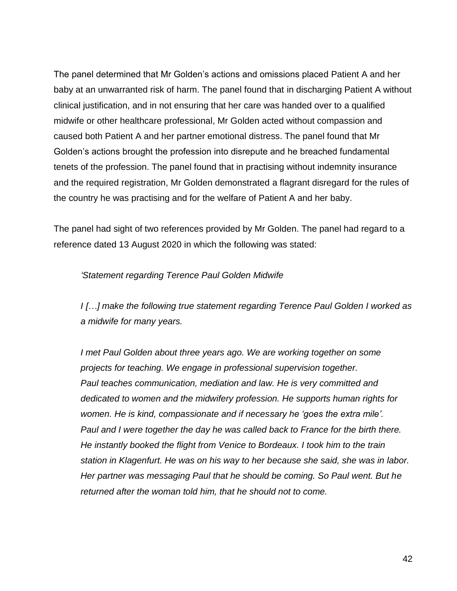The panel determined that Mr Golden's actions and omissions placed Patient A and her baby at an unwarranted risk of harm. The panel found that in discharging Patient A without clinical justification, and in not ensuring that her care was handed over to a qualified midwife or other healthcare professional, Mr Golden acted without compassion and caused both Patient A and her partner emotional distress. The panel found that Mr Golden's actions brought the profession into disrepute and he breached fundamental tenets of the profession. The panel found that in practising without indemnity insurance and the required registration, Mr Golden demonstrated a flagrant disregard for the rules of the country he was practising and for the welfare of Patient A and her baby.

The panel had sight of two references provided by Mr Golden. The panel had regard to a reference dated 13 August 2020 in which the following was stated:

#### *'Statement regarding Terence Paul Golden Midwife*

*I […] make the following true statement regarding Terence Paul Golden I worked as a midwife for many years.*

*I met Paul Golden about three years ago. We are working together on some projects for teaching. We engage in professional supervision together. Paul teaches communication, mediation and law. He is very committed and dedicated to women and the midwifery profession. He supports human rights for women. He is kind, compassionate and if necessary he 'goes the extra mile'. Paul and I were together the day he was called back to France for the birth there. He instantly booked the flight from Venice to Bordeaux. I took him to the train station in Klagenfurt. He was on his way to her because she said, she was in labor. Her partner was messaging Paul that he should be coming. So Paul went. But he returned after the woman told him, that he should not to come.*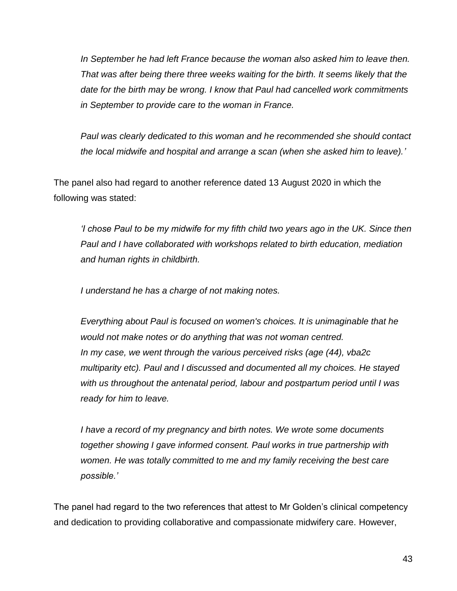*In September he had left France because the woman also asked him to leave then. That was after being there three weeks waiting for the birth. It seems likely that the date for the birth may be wrong. I know that Paul had cancelled work commitments in September to provide care to the woman in France.*

*Paul was clearly dedicated to this woman and he recommended she should contact the local midwife and hospital and arrange a scan (when she asked him to leave).'*

The panel also had regard to another reference dated 13 August 2020 in which the following was stated:

*'I chose Paul to be my midwife for my fifth child two years ago in the UK. Since then Paul and I have collaborated with workshops related to birth education, mediation and human rights in childbirth.*

*I understand he has a charge of not making notes.*

*Everything about Paul is focused on women's choices. It is unimaginable that he would not make notes or do anything that was not woman centred. In my case, we went through the various perceived risks (age (44), vba2c multiparity etc). Paul and I discussed and documented all my choices. He stayed with us throughout the antenatal period, labour and postpartum period until I was ready for him to leave.*

*I have a record of my pregnancy and birth notes. We wrote some documents together showing I gave informed consent. Paul works in true partnership with women. He was totally committed to me and my family receiving the best care possible.'*

The panel had regard to the two references that attest to Mr Golden's clinical competency and dedication to providing collaborative and compassionate midwifery care. However,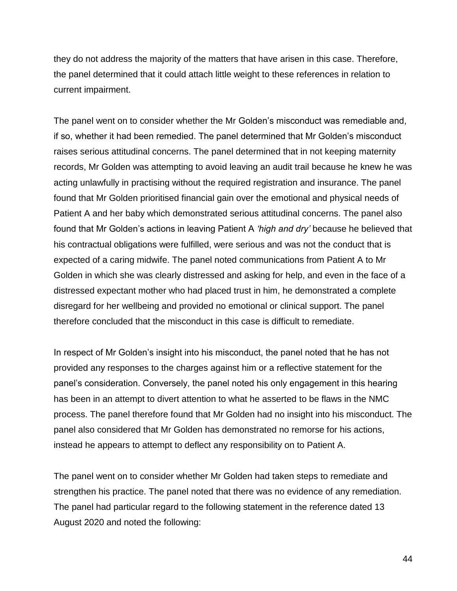they do not address the majority of the matters that have arisen in this case. Therefore, the panel determined that it could attach little weight to these references in relation to current impairment.

The panel went on to consider whether the Mr Golden's misconduct was remediable and, if so, whether it had been remedied. The panel determined that Mr Golden's misconduct raises serious attitudinal concerns. The panel determined that in not keeping maternity records, Mr Golden was attempting to avoid leaving an audit trail because he knew he was acting unlawfully in practising without the required registration and insurance. The panel found that Mr Golden prioritised financial gain over the emotional and physical needs of Patient A and her baby which demonstrated serious attitudinal concerns. The panel also found that Mr Golden's actions in leaving Patient A *'high and dry'* because he believed that his contractual obligations were fulfilled, were serious and was not the conduct that is expected of a caring midwife. The panel noted communications from Patient A to Mr Golden in which she was clearly distressed and asking for help, and even in the face of a distressed expectant mother who had placed trust in him, he demonstrated a complete disregard for her wellbeing and provided no emotional or clinical support. The panel therefore concluded that the misconduct in this case is difficult to remediate.

In respect of Mr Golden's insight into his misconduct, the panel noted that he has not provided any responses to the charges against him or a reflective statement for the panel's consideration. Conversely, the panel noted his only engagement in this hearing has been in an attempt to divert attention to what he asserted to be flaws in the NMC process. The panel therefore found that Mr Golden had no insight into his misconduct. The panel also considered that Mr Golden has demonstrated no remorse for his actions, instead he appears to attempt to deflect any responsibility on to Patient A.

The panel went on to consider whether Mr Golden had taken steps to remediate and strengthen his practice. The panel noted that there was no evidence of any remediation. The panel had particular regard to the following statement in the reference dated 13 August 2020 and noted the following: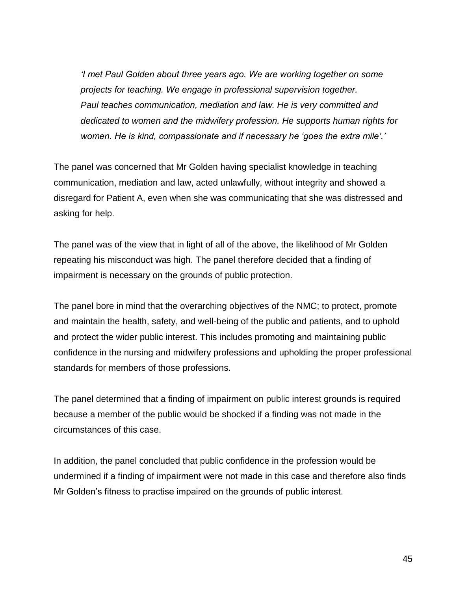*'I met Paul Golden about three years ago. We are working together on some projects for teaching. We engage in professional supervision together. Paul teaches communication, mediation and law. He is very committed and dedicated to women and the midwifery profession. He supports human rights for women. He is kind, compassionate and if necessary he 'goes the extra mile'.'*

The panel was concerned that Mr Golden having specialist knowledge in teaching communication, mediation and law, acted unlawfully, without integrity and showed a disregard for Patient A, even when she was communicating that she was distressed and asking for help.

The panel was of the view that in light of all of the above, the likelihood of Mr Golden repeating his misconduct was high. The panel therefore decided that a finding of impairment is necessary on the grounds of public protection.

The panel bore in mind that the overarching objectives of the NMC; to protect, promote and maintain the health, safety, and well-being of the public and patients, and to uphold and protect the wider public interest. This includes promoting and maintaining public confidence in the nursing and midwifery professions and upholding the proper professional standards for members of those professions.

The panel determined that a finding of impairment on public interest grounds is required because a member of the public would be shocked if a finding was not made in the circumstances of this case.

In addition, the panel concluded that public confidence in the profession would be undermined if a finding of impairment were not made in this case and therefore also finds Mr Golden's fitness to practise impaired on the grounds of public interest.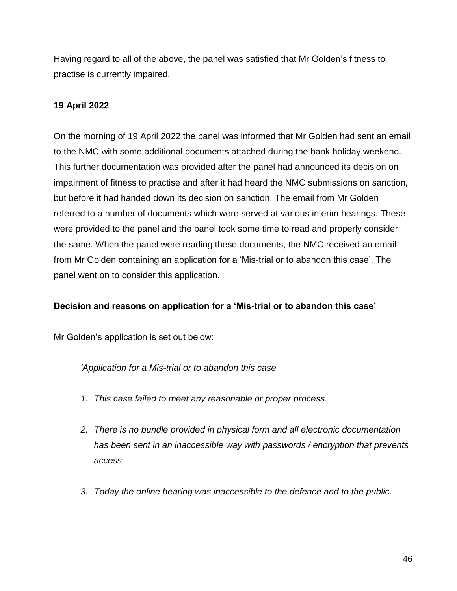Having regard to all of the above, the panel was satisfied that Mr Golden's fitness to practise is currently impaired.

### **19 April 2022**

On the morning of 19 April 2022 the panel was informed that Mr Golden had sent an email to the NMC with some additional documents attached during the bank holiday weekend. This further documentation was provided after the panel had announced its decision on impairment of fitness to practise and after it had heard the NMC submissions on sanction, but before it had handed down its decision on sanction. The email from Mr Golden referred to a number of documents which were served at various interim hearings. These were provided to the panel and the panel took some time to read and properly consider the same. When the panel were reading these documents, the NMC received an email from Mr Golden containing an application for a 'Mis-trial or to abandon this case'. The panel went on to consider this application.

### **Decision and reasons on application for a 'Mis-trial or to abandon this case'**

Mr Golden's application is set out below:

*'Application for a Mis-trial or to abandon this case*

- *1. This case failed to meet any reasonable or proper process.*
- *2. There is no bundle provided in physical form and all electronic documentation has been sent in an inaccessible way with passwords / encryption that prevents access.*
- *3. Today the online hearing was inaccessible to the defence and to the public.*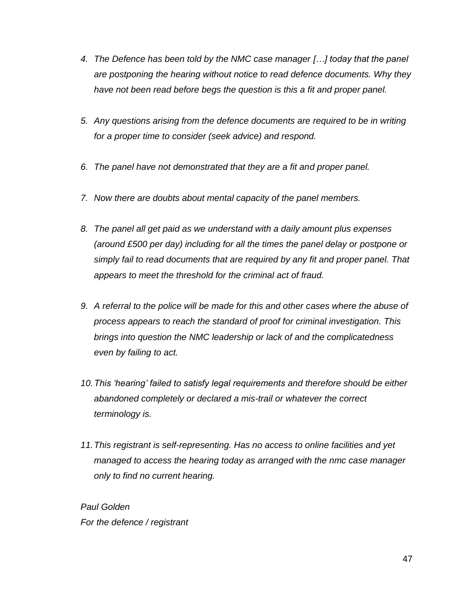- *4. The Defence has been told by the NMC case manager […] today that the panel are postponing the hearing without notice to read defence documents. Why they have not been read before begs the question is this a fit and proper panel.*
- *5. Any questions arising from the defence documents are required to be in writing for a proper time to consider (seek advice) and respond.*
- *6. The panel have not demonstrated that they are a fit and proper panel.*
- *7. Now there are doubts about mental capacity of the panel members.*
- *8. The panel all get paid as we understand with a daily amount plus expenses (around £500 per day) including for all the times the panel delay or postpone or simply fail to read documents that are required by any fit and proper panel. That appears to meet the threshold for the criminal act of fraud.*
- *9. A referral to the police will be made for this and other cases where the abuse of process appears to reach the standard of proof for criminal investigation. This brings into question the NMC leadership or lack of and the complicatedness even by failing to act.*
- *10.This 'hearing' failed to satisfy legal requirements and therefore should be either abandoned completely or declared a mis-trail or whatever the correct terminology is.*
- *11.This registrant is self-representing. Has no access to online facilities and yet managed to access the hearing today as arranged with the nmc case manager only to find no current hearing.*

*Paul Golden For the defence / registrant*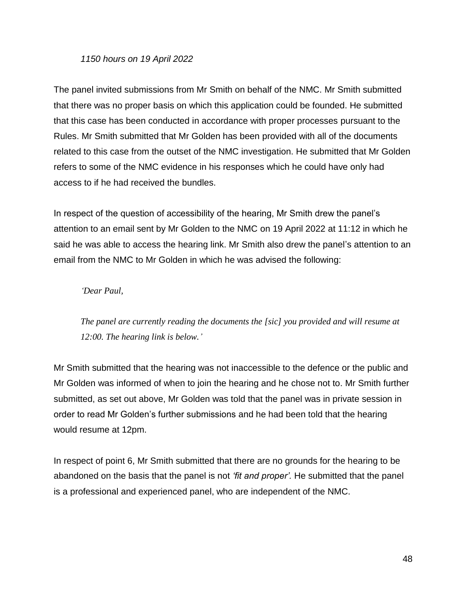#### *1150 hours on 19 April 2022*

The panel invited submissions from Mr Smith on behalf of the NMC. Mr Smith submitted that there was no proper basis on which this application could be founded. He submitted that this case has been conducted in accordance with proper processes pursuant to the Rules. Mr Smith submitted that Mr Golden has been provided with all of the documents related to this case from the outset of the NMC investigation. He submitted that Mr Golden refers to some of the NMC evidence in his responses which he could have only had access to if he had received the bundles.

In respect of the question of accessibility of the hearing, Mr Smith drew the panel's attention to an email sent by Mr Golden to the NMC on 19 April 2022 at 11:12 in which he said he was able to access the hearing link. Mr Smith also drew the panel's attention to an email from the NMC to Mr Golden in which he was advised the following:

#### *'Dear Paul,*

*The panel are currently reading the documents the [sic] you provided and will resume at 12:00. The hearing link is below.'*

Mr Smith submitted that the hearing was not inaccessible to the defence or the public and Mr Golden was informed of when to join the hearing and he chose not to. Mr Smith further submitted, as set out above, Mr Golden was told that the panel was in private session in order to read Mr Golden's further submissions and he had been told that the hearing would resume at 12pm.

In respect of point 6, Mr Smith submitted that there are no grounds for the hearing to be abandoned on the basis that the panel is not *'fit and proper'.* He submitted that the panel is a professional and experienced panel, who are independent of the NMC.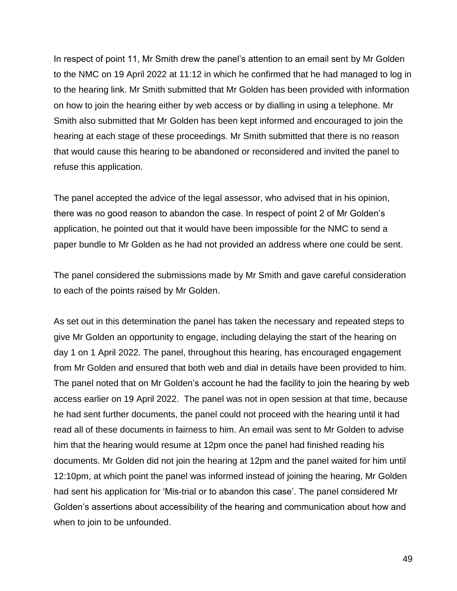In respect of point 11, Mr Smith drew the panel's attention to an email sent by Mr Golden to the NMC on 19 April 2022 at 11:12 in which he confirmed that he had managed to log in to the hearing link. Mr Smith submitted that Mr Golden has been provided with information on how to join the hearing either by web access or by dialling in using a telephone. Mr Smith also submitted that Mr Golden has been kept informed and encouraged to join the hearing at each stage of these proceedings. Mr Smith submitted that there is no reason that would cause this hearing to be abandoned or reconsidered and invited the panel to refuse this application.

The panel accepted the advice of the legal assessor, who advised that in his opinion, there was no good reason to abandon the case. In respect of point 2 of Mr Golden's application, he pointed out that it would have been impossible for the NMC to send a paper bundle to Mr Golden as he had not provided an address where one could be sent.

The panel considered the submissions made by Mr Smith and gave careful consideration to each of the points raised by Mr Golden.

As set out in this determination the panel has taken the necessary and repeated steps to give Mr Golden an opportunity to engage, including delaying the start of the hearing on day 1 on 1 April 2022. The panel, throughout this hearing, has encouraged engagement from Mr Golden and ensured that both web and dial in details have been provided to him. The panel noted that on Mr Golden's account he had the facility to join the hearing by web access earlier on 19 April 2022. The panel was not in open session at that time, because he had sent further documents, the panel could not proceed with the hearing until it had read all of these documents in fairness to him. An email was sent to Mr Golden to advise him that the hearing would resume at 12pm once the panel had finished reading his documents. Mr Golden did not join the hearing at 12pm and the panel waited for him until 12:10pm, at which point the panel was informed instead of joining the hearing, Mr Golden had sent his application for 'Mis-trial or to abandon this case'. The panel considered Mr Golden's assertions about accessibility of the hearing and communication about how and when to join to be unfounded.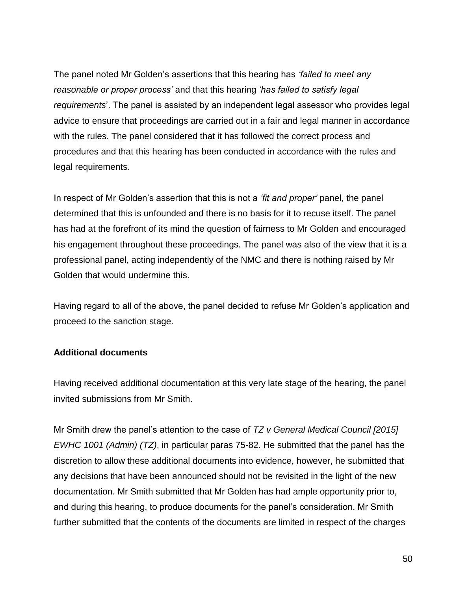The panel noted Mr Golden's assertions that this hearing has *'failed to meet any reasonable or proper process'* and that this hearing *'has failed to satisfy legal requirements*'. The panel is assisted by an independent legal assessor who provides legal advice to ensure that proceedings are carried out in a fair and legal manner in accordance with the rules. The panel considered that it has followed the correct process and procedures and that this hearing has been conducted in accordance with the rules and legal requirements.

In respect of Mr Golden's assertion that this is not a *'fit and proper'* panel, the panel determined that this is unfounded and there is no basis for it to recuse itself. The panel has had at the forefront of its mind the question of fairness to Mr Golden and encouraged his engagement throughout these proceedings. The panel was also of the view that it is a professional panel, acting independently of the NMC and there is nothing raised by Mr Golden that would undermine this.

Having regard to all of the above, the panel decided to refuse Mr Golden's application and proceed to the sanction stage.

### **Additional documents**

Having received additional documentation at this very late stage of the hearing, the panel invited submissions from Mr Smith.

Mr Smith drew the panel's attention to the case of *TZ v General Medical Council [2015] EWHC 1001 (Admin) (TZ)*, in particular paras 75-82. He submitted that the panel has the discretion to allow these additional documents into evidence, however, he submitted that any decisions that have been announced should not be revisited in the light of the new documentation. Mr Smith submitted that Mr Golden has had ample opportunity prior to, and during this hearing, to produce documents for the panel's consideration. Mr Smith further submitted that the contents of the documents are limited in respect of the charges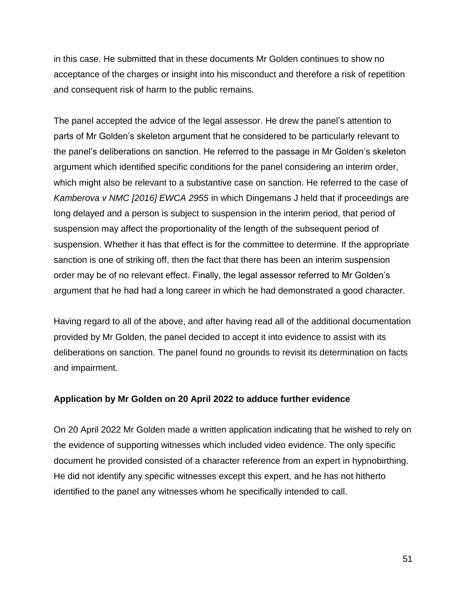in this case. He submitted that in these documents Mr Golden continues to show no acceptance of the charges or insight into his misconduct and therefore a risk of repetition and consequent risk of harm to the public remains.

The panel accepted the advice of the legal assessor. He drew the panel's attention to parts of Mr Golden's skeleton argument that he considered to be particularly relevant to the panel's deliberations on sanction. He referred to the passage in Mr Golden's skeleton argument which identified specific conditions for the panel considering an interim order, which might also be relevant to a substantive case on sanction. He referred to the case of *Kamberova v NMC [2016] EWCA 2955* in which Dingemans J held that if proceedings are long delayed and a person is subject to suspension in the interim period, that period of suspension may affect the proportionality of the length of the subsequent period of suspension. Whether it has that effect is for the committee to determine. If the appropriate sanction is one of striking off, then the fact that there has been an interim suspension order may be of no relevant effect. Finally, the legal assessor referred to Mr Golden's argument that he had had a long career in which he had demonstrated a good character.

Having regard to all of the above, and after having read all of the additional documentation provided by Mr Golden, the panel decided to accept it into evidence to assist with its deliberations on sanction. The panel found no grounds to revisit its determination on facts and impairment.

### **Application by Mr Golden on 20 April 2022 to adduce further evidence**

On 20 April 2022 Mr Golden made a written application indicating that he wished to rely on the evidence of supporting witnesses which included video evidence. The only specific document he provided consisted of a character reference from an expert in hypnobirthing. He did not identify any specific witnesses except this expert, and he has not hitherto identified to the panel any witnesses whom he specifically intended to call.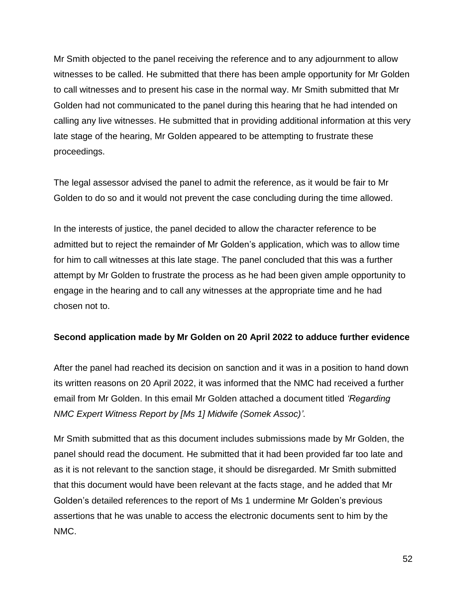Mr Smith objected to the panel receiving the reference and to any adjournment to allow witnesses to be called. He submitted that there has been ample opportunity for Mr Golden to call witnesses and to present his case in the normal way. Mr Smith submitted that Mr Golden had not communicated to the panel during this hearing that he had intended on calling any live witnesses. He submitted that in providing additional information at this very late stage of the hearing, Mr Golden appeared to be attempting to frustrate these proceedings.

The legal assessor advised the panel to admit the reference, as it would be fair to Mr Golden to do so and it would not prevent the case concluding during the time allowed.

In the interests of justice, the panel decided to allow the character reference to be admitted but to reject the remainder of Mr Golden's application, which was to allow time for him to call witnesses at this late stage. The panel concluded that this was a further attempt by Mr Golden to frustrate the process as he had been given ample opportunity to engage in the hearing and to call any witnesses at the appropriate time and he had chosen not to.

### **Second application made by Mr Golden on 20 April 2022 to adduce further evidence**

After the panel had reached its decision on sanction and it was in a position to hand down its written reasons on 20 April 2022, it was informed that the NMC had received a further email from Mr Golden. In this email Mr Golden attached a document titled *'Regarding NMC Expert Witness Report by [Ms 1] Midwife (Somek Assoc)'*.

Mr Smith submitted that as this document includes submissions made by Mr Golden, the panel should read the document. He submitted that it had been provided far too late and as it is not relevant to the sanction stage, it should be disregarded. Mr Smith submitted that this document would have been relevant at the facts stage, and he added that Mr Golden's detailed references to the report of Ms 1 undermine Mr Golden's previous assertions that he was unable to access the electronic documents sent to him by the NMC.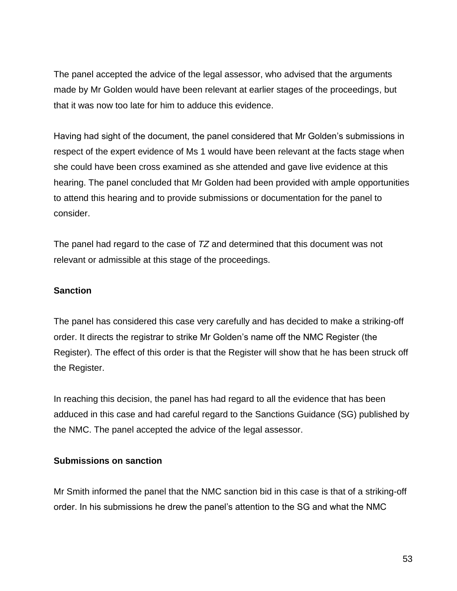The panel accepted the advice of the legal assessor, who advised that the arguments made by Mr Golden would have been relevant at earlier stages of the proceedings, but that it was now too late for him to adduce this evidence.

Having had sight of the document, the panel considered that Mr Golden's submissions in respect of the expert evidence of Ms 1 would have been relevant at the facts stage when she could have been cross examined as she attended and gave live evidence at this hearing. The panel concluded that Mr Golden had been provided with ample opportunities to attend this hearing and to provide submissions or documentation for the panel to consider.

The panel had regard to the case of *TZ* and determined that this document was not relevant or admissible at this stage of the proceedings.

#### **Sanction**

The panel has considered this case very carefully and has decided to make a striking-off order. It directs the registrar to strike Mr Golden's name off the NMC Register (the Register). The effect of this order is that the Register will show that he has been struck off the Register.

In reaching this decision, the panel has had regard to all the evidence that has been adduced in this case and had careful regard to the Sanctions Guidance (SG) published by the NMC. The panel accepted the advice of the legal assessor.

### **Submissions on sanction**

Mr Smith informed the panel that the NMC sanction bid in this case is that of a striking-off order. In his submissions he drew the panel's attention to the SG and what the NMC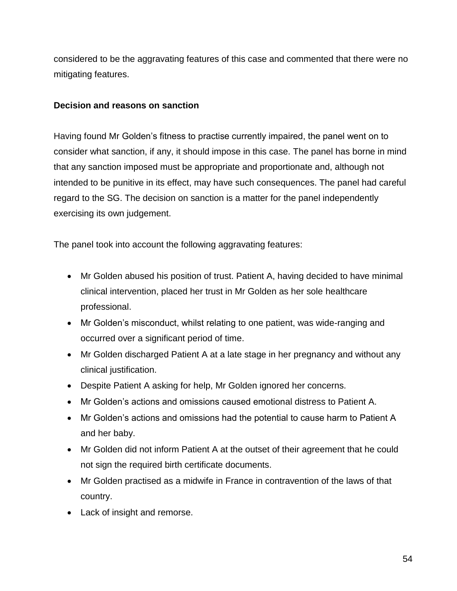considered to be the aggravating features of this case and commented that there were no mitigating features.

#### **Decision and reasons on sanction**

Having found Mr Golden's fitness to practise currently impaired, the panel went on to consider what sanction, if any, it should impose in this case. The panel has borne in mind that any sanction imposed must be appropriate and proportionate and, although not intended to be punitive in its effect, may have such consequences. The panel had careful regard to the SG. The decision on sanction is a matter for the panel independently exercising its own judgement.

The panel took into account the following aggravating features:

- Mr Golden abused his position of trust. Patient A, having decided to have minimal clinical intervention, placed her trust in Mr Golden as her sole healthcare professional.
- Mr Golden's misconduct, whilst relating to one patient, was wide-ranging and occurred over a significant period of time.
- Mr Golden discharged Patient A at a late stage in her pregnancy and without any clinical justification.
- Despite Patient A asking for help, Mr Golden ignored her concerns.
- Mr Golden's actions and omissions caused emotional distress to Patient A.
- Mr Golden's actions and omissions had the potential to cause harm to Patient A and her baby.
- Mr Golden did not inform Patient A at the outset of their agreement that he could not sign the required birth certificate documents.
- Mr Golden practised as a midwife in France in contravention of the laws of that country.
- Lack of insight and remorse.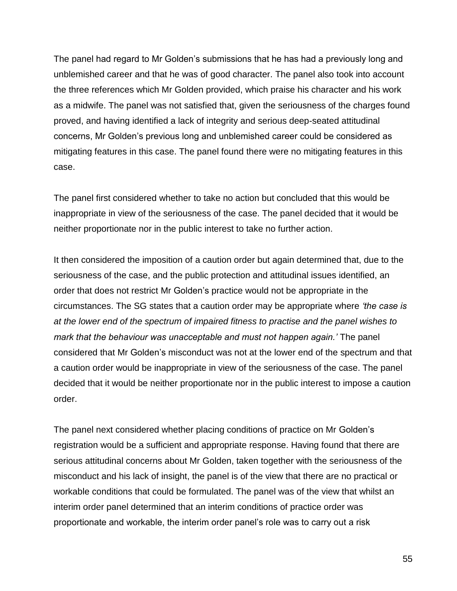The panel had regard to Mr Golden's submissions that he has had a previously long and unblemished career and that he was of good character. The panel also took into account the three references which Mr Golden provided, which praise his character and his work as a midwife. The panel was not satisfied that, given the seriousness of the charges found proved, and having identified a lack of integrity and serious deep-seated attitudinal concerns, Mr Golden's previous long and unblemished career could be considered as mitigating features in this case. The panel found there were no mitigating features in this case.

The panel first considered whether to take no action but concluded that this would be inappropriate in view of the seriousness of the case. The panel decided that it would be neither proportionate nor in the public interest to take no further action.

It then considered the imposition of a caution order but again determined that, due to the seriousness of the case, and the public protection and attitudinal issues identified, an order that does not restrict Mr Golden's practice would not be appropriate in the circumstances. The SG states that a caution order may be appropriate where *'the case is at the lower end of the spectrum of impaired fitness to practise and the panel wishes to mark that the behaviour was unacceptable and must not happen again.'* The panel considered that Mr Golden's misconduct was not at the lower end of the spectrum and that a caution order would be inappropriate in view of the seriousness of the case. The panel decided that it would be neither proportionate nor in the public interest to impose a caution order.

The panel next considered whether placing conditions of practice on Mr Golden's registration would be a sufficient and appropriate response. Having found that there are serious attitudinal concerns about Mr Golden, taken together with the seriousness of the misconduct and his lack of insight, the panel is of the view that there are no practical or workable conditions that could be formulated. The panel was of the view that whilst an interim order panel determined that an interim conditions of practice order was proportionate and workable, the interim order panel's role was to carry out a risk

55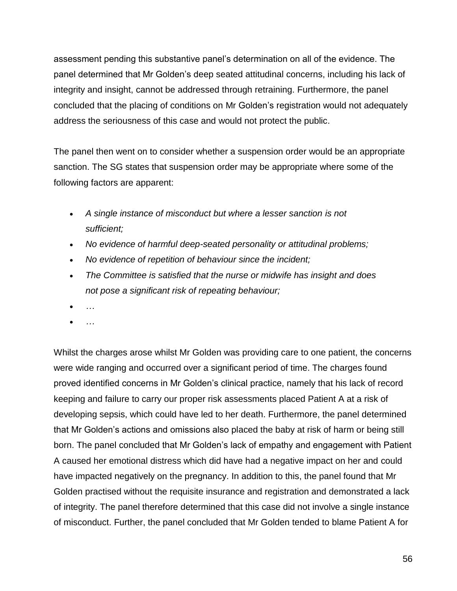assessment pending this substantive panel's determination on all of the evidence. The panel determined that Mr Golden's deep seated attitudinal concerns, including his lack of integrity and insight, cannot be addressed through retraining. Furthermore, the panel concluded that the placing of conditions on Mr Golden's registration would not adequately address the seriousness of this case and would not protect the public.

The panel then went on to consider whether a suspension order would be an appropriate sanction. The SG states that suspension order may be appropriate where some of the following factors are apparent:

- *A single instance of misconduct but where a lesser sanction is not sufficient;*
- *No evidence of harmful deep-seated personality or attitudinal problems;*
- *No evidence of repetition of behaviour since the incident;*
- *The Committee is satisfied that the nurse or midwife has insight and does not pose a significant risk of repeating behaviour;*
- *…*
- *…*

Whilst the charges arose whilst Mr Golden was providing care to one patient, the concerns were wide ranging and occurred over a significant period of time. The charges found proved identified concerns in Mr Golden's clinical practice, namely that his lack of record keeping and failure to carry our proper risk assessments placed Patient A at a risk of developing sepsis, which could have led to her death. Furthermore, the panel determined that Mr Golden's actions and omissions also placed the baby at risk of harm or being still born. The panel concluded that Mr Golden's lack of empathy and engagement with Patient A caused her emotional distress which did have had a negative impact on her and could have impacted negatively on the pregnancy. In addition to this, the panel found that Mr Golden practised without the requisite insurance and registration and demonstrated a lack of integrity. The panel therefore determined that this case did not involve a single instance of misconduct. Further, the panel concluded that Mr Golden tended to blame Patient A for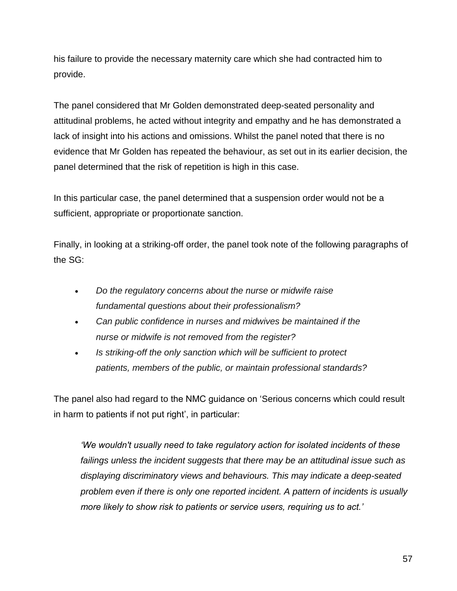his failure to provide the necessary maternity care which she had contracted him to provide.

The panel considered that Mr Golden demonstrated deep-seated personality and attitudinal problems, he acted without integrity and empathy and he has demonstrated a lack of insight into his actions and omissions. Whilst the panel noted that there is no evidence that Mr Golden has repeated the behaviour, as set out in its earlier decision, the panel determined that the risk of repetition is high in this case.

In this particular case, the panel determined that a suspension order would not be a sufficient, appropriate or proportionate sanction.

Finally, in looking at a striking-off order, the panel took note of the following paragraphs of the SG:

- *Do the regulatory concerns about the nurse or midwife raise fundamental questions about their professionalism?*
- *Can public confidence in nurses and midwives be maintained if the nurse or midwife is not removed from the register?*
- *Is striking-off the only sanction which will be sufficient to protect patients, members of the public, or maintain professional standards?*

The panel also had regard to the NMC guidance on 'Serious concerns which could result in harm to patients if not put right', in particular:

*'We wouldn't usually need to take regulatory action for isolated incidents of these failings unless the incident suggests that there may be an attitudinal issue such as displaying discriminatory views and behaviours. This may indicate a deep-seated problem even if there is only one reported incident. A pattern of incidents is usually more likely to show risk to patients or service users, requiring us to act.'*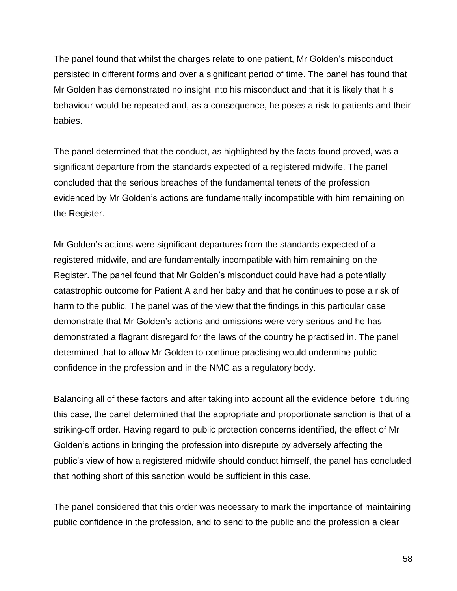The panel found that whilst the charges relate to one patient, Mr Golden's misconduct persisted in different forms and over a significant period of time. The panel has found that Mr Golden has demonstrated no insight into his misconduct and that it is likely that his behaviour would be repeated and, as a consequence, he poses a risk to patients and their babies.

The panel determined that the conduct, as highlighted by the facts found proved, was a significant departure from the standards expected of a registered midwife. The panel concluded that the serious breaches of the fundamental tenets of the profession evidenced by Mr Golden's actions are fundamentally incompatible with him remaining on the Register.

Mr Golden's actions were significant departures from the standards expected of a registered midwife, and are fundamentally incompatible with him remaining on the Register. The panel found that Mr Golden's misconduct could have had a potentially catastrophic outcome for Patient A and her baby and that he continues to pose a risk of harm to the public. The panel was of the view that the findings in this particular case demonstrate that Mr Golden's actions and omissions were very serious and he has demonstrated a flagrant disregard for the laws of the country he practised in. The panel determined that to allow Mr Golden to continue practising would undermine public confidence in the profession and in the NMC as a regulatory body.

Balancing all of these factors and after taking into account all the evidence before it during this case, the panel determined that the appropriate and proportionate sanction is that of a striking-off order. Having regard to public protection concerns identified, the effect of Mr Golden's actions in bringing the profession into disrepute by adversely affecting the public's view of how a registered midwife should conduct himself, the panel has concluded that nothing short of this sanction would be sufficient in this case.

The panel considered that this order was necessary to mark the importance of maintaining public confidence in the profession, and to send to the public and the profession a clear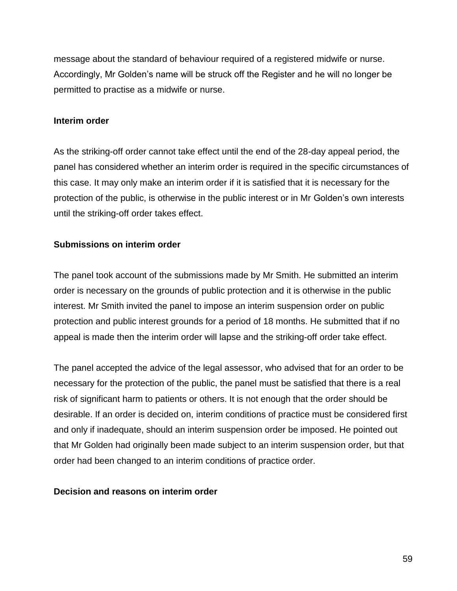message about the standard of behaviour required of a registered midwife or nurse. Accordingly, Mr Golden's name will be struck off the Register and he will no longer be permitted to practise as a midwife or nurse.

#### **Interim order**

As the striking-off order cannot take effect until the end of the 28-day appeal period, the panel has considered whether an interim order is required in the specific circumstances of this case. It may only make an interim order if it is satisfied that it is necessary for the protection of the public, is otherwise in the public interest or in Mr Golden's own interests until the striking-off order takes effect.

### **Submissions on interim order**

The panel took account of the submissions made by Mr Smith. He submitted an interim order is necessary on the grounds of public protection and it is otherwise in the public interest. Mr Smith invited the panel to impose an interim suspension order on public protection and public interest grounds for a period of 18 months. He submitted that if no appeal is made then the interim order will lapse and the striking-off order take effect.

The panel accepted the advice of the legal assessor, who advised that for an order to be necessary for the protection of the public, the panel must be satisfied that there is a real risk of significant harm to patients or others. It is not enough that the order should be desirable. If an order is decided on, interim conditions of practice must be considered first and only if inadequate, should an interim suspension order be imposed. He pointed out that Mr Golden had originally been made subject to an interim suspension order, but that order had been changed to an interim conditions of practice order.

### **Decision and reasons on interim order**